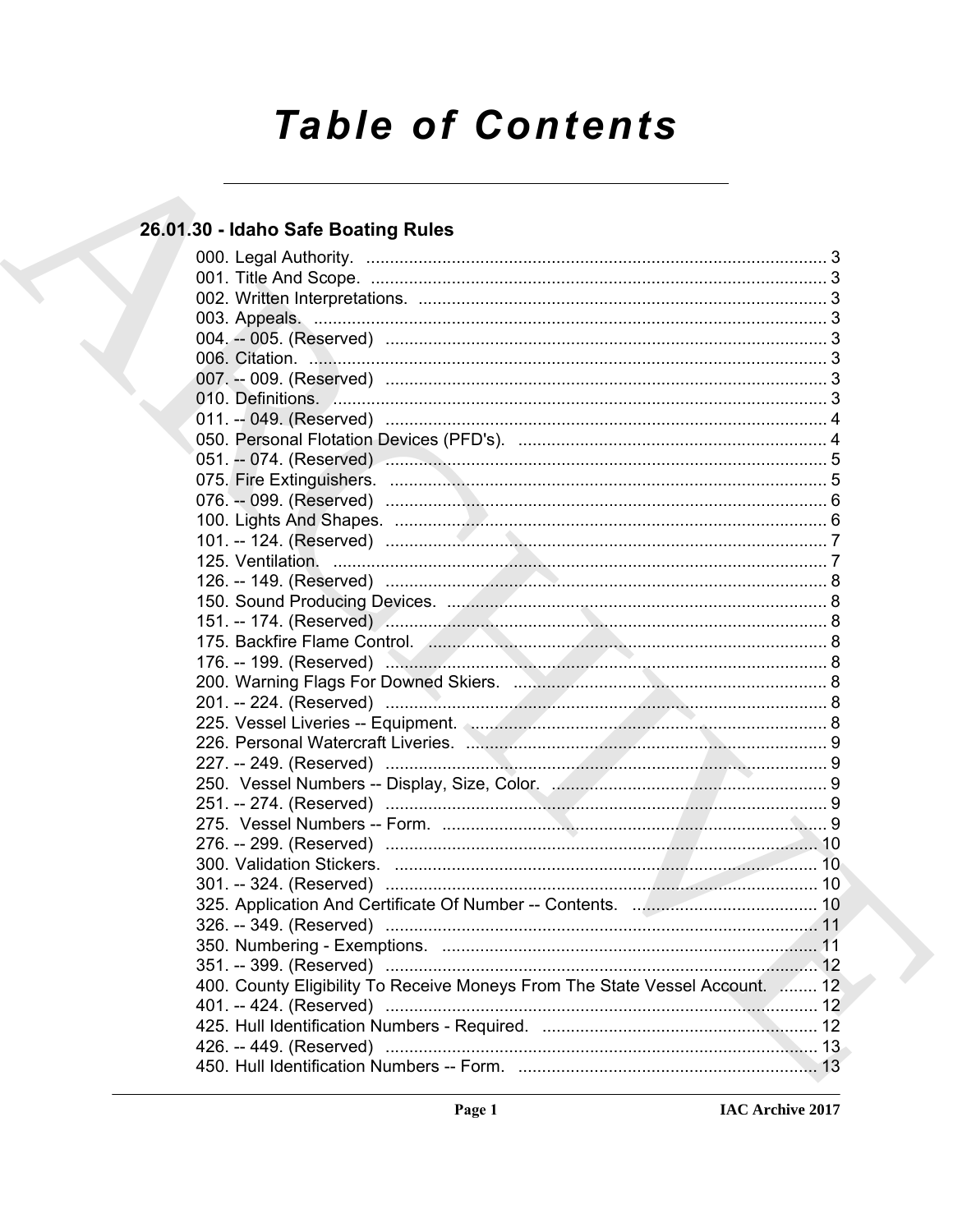# **Table of Contents**

# 26.01.30 - Idaho Safe Boating Rules

| 175. Backfire Flame Control. (Cancelling Controllette and State of Australian State and State and St |     |
|------------------------------------------------------------------------------------------------------|-----|
|                                                                                                      |     |
|                                                                                                      |     |
|                                                                                                      |     |
|                                                                                                      |     |
|                                                                                                      |     |
|                                                                                                      |     |
|                                                                                                      |     |
|                                                                                                      |     |
|                                                                                                      |     |
|                                                                                                      |     |
|                                                                                                      |     |
|                                                                                                      |     |
|                                                                                                      |     |
|                                                                                                      |     |
|                                                                                                      | .11 |
|                                                                                                      |     |
| 400. County Eligibility To Receive Moneys From The State Vessel Account.  12                         |     |
|                                                                                                      |     |
|                                                                                                      |     |
|                                                                                                      |     |
|                                                                                                      |     |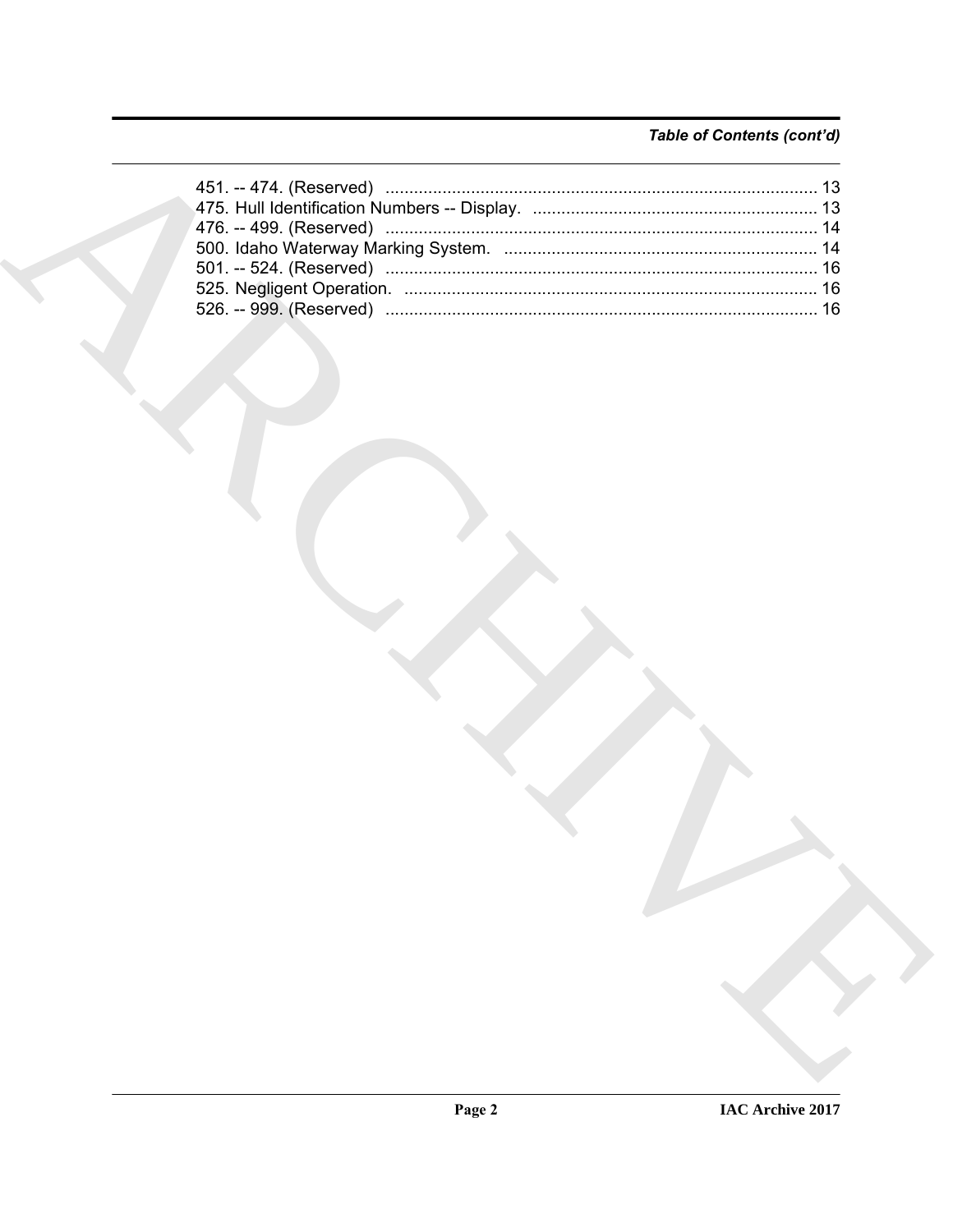# Table of Contents (cont'd)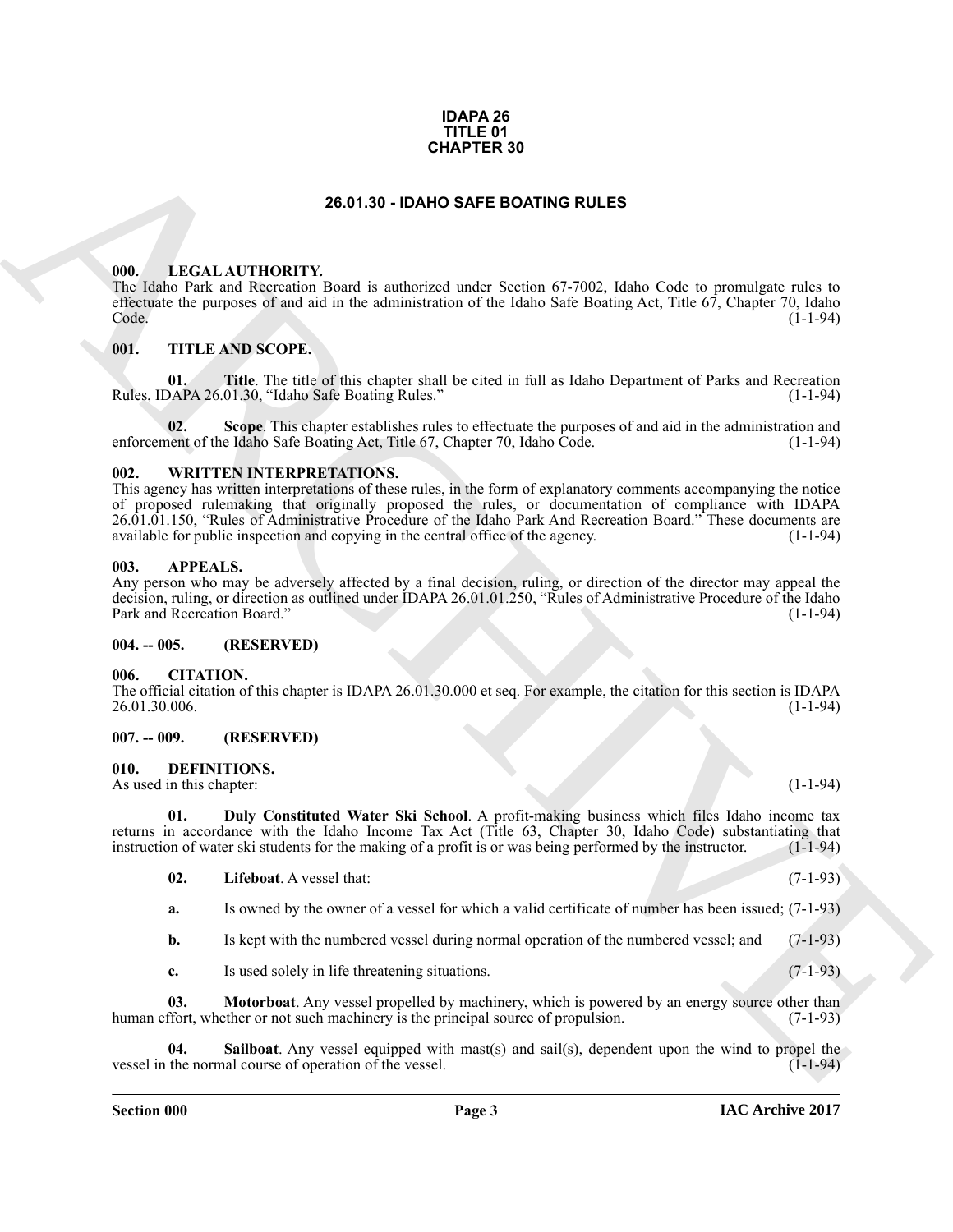#### **IDAPA 26 TITLE 01 CHAPTER 30**

# **26.01.30 - IDAHO SAFE BOATING RULES**

#### <span id="page-2-1"></span><span id="page-2-0"></span>**000. LEGAL AUTHORITY.**

The Idaho Park and Recreation Board is authorized under Section 67-7002, Idaho Code to promulgate rules to effectuate the purposes of and aid in the administration of the Idaho Safe Boating Act, Title 67, Chapter 70, Idaho Code. (1-1-94)

#### <span id="page-2-2"></span>**001. TITLE AND SCOPE.**

**01. Title**. The title of this chapter shall be cited in full as Idaho Department of Parks and Recreation DAPA 26.01.30, "Idaho Safe Boating Rules." (1-1-94) Rules, IDAPA 26.01.30, "Idaho Safe Boating Rules."

**02.** Scope. This chapter establishes rules to effectuate the purposes of and aid in the administration and nent of the Idaho Safe Boating Act. Title 67, Chapter 70, Idaho Code. (1-1-94) enforcement of the Idaho Safe Boating Act, Title 67, Chapter 70, Idaho Code.

#### <span id="page-2-3"></span>**002. WRITTEN INTERPRETATIONS.**

**EXAMPLER 39**<br> **EXAMPLEME ANTIFORMY**<br> **EXAMPLEME ANTIFORMY COOR SURFACE CONTING RULES**<br> **EXAMPLEME ANTIFORMY COOR ASSESS CONSULTER CONSULTER CONSULTS**<br> **EXAMPLEME ANTIFORMY COOR ASSESS CONSULTS**<br> **CONSULTS**<br> **EXAMPLEME AN** This agency has written interpretations of these rules, in the form of explanatory comments accompanying the notice of proposed rulemaking that originally proposed the rules, or documentation of compliance with IDAPA 26.01.01.150, "Rules of Administrative Procedure of the Idaho Park And Recreation Board." These documents are available for public inspection and copying in the central office of the agency. available for public inspection and copying in the central office of the agency.

#### <span id="page-2-4"></span>**003. APPEALS.**

Any person who may be adversely affected by a final decision, ruling, or direction of the director may appeal the decision, ruling, or direction as outlined under IDAPA 26.01.01.250, "Rules of Administrative Procedure of the Idaho<br>Park and Recreation Board." (1-1-94) Park and Recreation Board."

#### <span id="page-2-5"></span>**004. -- 005. (RESERVED)**

#### <span id="page-2-6"></span>**006. CITATION.**

The official citation of this chapter is IDAPA 26.01.30.000 et seq. For example, the citation for this section is IDAPA 26.01.30.006. (1-1-94)

# <span id="page-2-7"></span>**007. -- 009. (RESERVED)**

# <span id="page-2-9"></span><span id="page-2-8"></span>**010. DEFINITIONS.**

As used in this chapter: (1-1-94) (1-1-94)

**01. Duly Constituted Water Ski School**. A profit-making business which files Idaho income tax returns in accordance with the Idaho Income Tax Act (Title 63, Chapter 30, Idaho Code) substantiating that instruction of water ski students for the making of a profit is or was being performed by the instructor. (1-1-94) instruction of water ski students for the making of a profit is or was being performed by the instructor.

- <span id="page-2-11"></span><span id="page-2-10"></span>**02. Lifeboat**. A vessel that: (7-1-93)
- **a.** Is owned by the owner of a vessel for which a valid certificate of number has been issued; (7-1-93)

**b.** Is kept with the numbered vessel during normal operation of the numbered vessel; and (7-1-93)

<span id="page-2-13"></span><span id="page-2-12"></span>**c.** Is used solely in life threatening situations. (7-1-93)

**03.** Motorboat. Any vessel propelled by machinery, which is powered by an energy source other than ffort, whether or not such machinery is the principal source of propulsion. (7-1-93) human effort, whether or not such machinery is the principal source of propulsion.

**04.** Sailboat. Any vessel equipped with mast(s) and sail(s), dependent upon the wind to propel the the normal course of operation of the vessel. vessel in the normal course of operation of the vessel.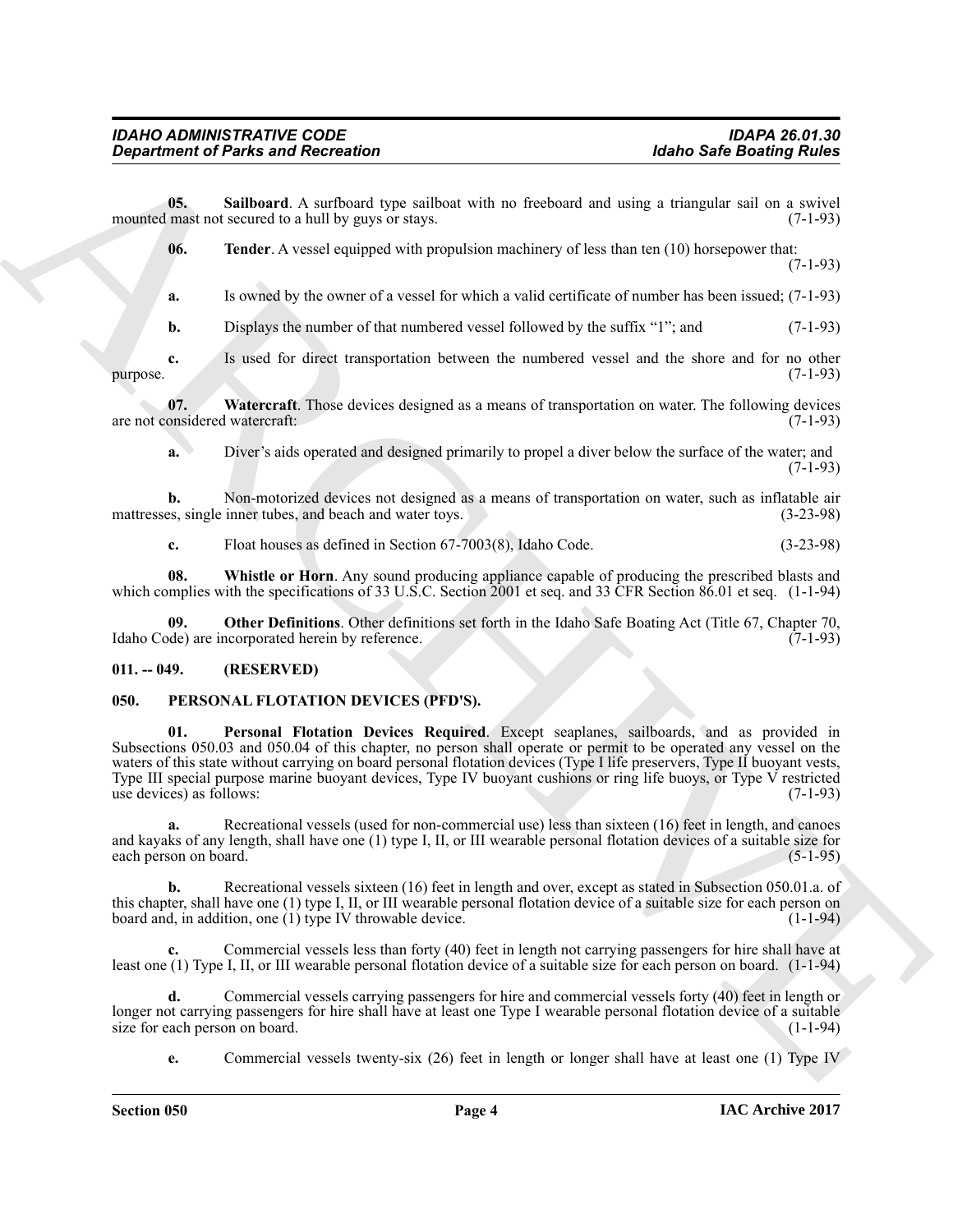**05.** Sailboard. A surfboard type sailboat with no freeboard and using a triangular sail on a swivel mast not secured to a hull by guys or stays. (7-1-93) mounted mast not secured to a hull by guys or stays.

<span id="page-3-4"></span><span id="page-3-3"></span>**06. Tender**. A vessel equipped with propulsion machinery of less than ten (10) horsepower that: (7-1-93)

**a.** Is owned by the owner of a vessel for which a valid certificate of number has been issued; (7-1-93)

**b.** Displays the number of that numbered vessel followed by the suffix "1"; and  $(7-1-93)$ 

**c.** Is used for direct transportation between the numbered vessel and the shore and for no other (7-1-93) purpose. (7-1-93)

**07.** Watercraft. Those devices designed as a means of transportation on water. The following devices onsidered watercraft: (7-1-93) are not considered watercraft:

<span id="page-3-5"></span>**a.** Diver's aids operated and designed primarily to propel a diver below the surface of the water; and (7-1-93)

**b.** Non-motorized devices not designed as a means of transportation on water, such as inflatable air es, single inner tubes, and beach and water toys. (3-23-98) mattresses, single inner tubes, and beach and water toys.

<span id="page-3-6"></span><span id="page-3-2"></span>**c.** Float houses as defined in Section 67-7003(8), Idaho Code. (3-23-98)

**08. Whistle or Horn**. Any sound producing appliance capable of producing the prescribed blasts and which complies with the specifications of 33 U.S.C. Section 2001 et seq. and 33 CFR Section 86.01 et seq. (1-1-94)

**Other Definitions**. Other definitions set forth in the Idaho Safe Boating Act (Title 67, Chapter 70, acorporated herein by reference. (7-1-93) Idaho Code) are incorporated herein by reference.

# <span id="page-3-0"></span>**011. -- 049. (RESERVED)**

# <span id="page-3-8"></span><span id="page-3-7"></span><span id="page-3-1"></span>**050. PERSONAL FLOTATION DEVICES (PFD'S).**

**Exparament of Paints and Recreation**<br>
USby a Similar Asia (School of the stationary interest in the continue of the stationary interest in the stationary of the stationary of the stationary interest in the stationary of **01. Personal Flotation Devices Required**. Except seaplanes, sailboards, and as provided in Subsections 050.03 and 050.04 of this chapter, no person shall operate or permit to be operated any vessel on the waters of this state without carrying on board personal flotation devices (Type I life preservers, Type II buoyant vests, Type III special purpose marine buoyant devices, Type IV buoyant cushions or ring life buoys, or Type V restricted use devices) as follows:  $(7-1-93)$ use devices) as follows:

**a.** Recreational vessels (used for non-commercial use) less than sixteen (16) feet in length, and canoes and kayaks of any length, shall have one (1) type I, II, or III wearable personal flotation devices of a suitable size for each person on board. (5-1-95) each person on board.

**b.** Recreational vessels sixteen (16) feet in length and over, except as stated in Subsection 050.01.a. of this chapter, shall have one (1) type I, II, or III wearable personal flotation device of a suitable size for each person on board and, in addition, one (1) type IV throwable device. (1-1-94)

**c.** Commercial vessels less than forty (40) feet in length not carrying passengers for hire shall have at least one (1) Type I, II, or III wearable personal flotation device of a suitable size for each person on board. (1-1-94)

**d.** Commercial vessels carrying passengers for hire and commercial vessels forty (40) feet in length or longer not carrying passengers for hire shall have at least one Type I wearable personal flotation device of a suitable size for each person on board. size for each person on board.

**e.** Commercial vessels twenty-six (26) feet in length or longer shall have at least one (1) Type IV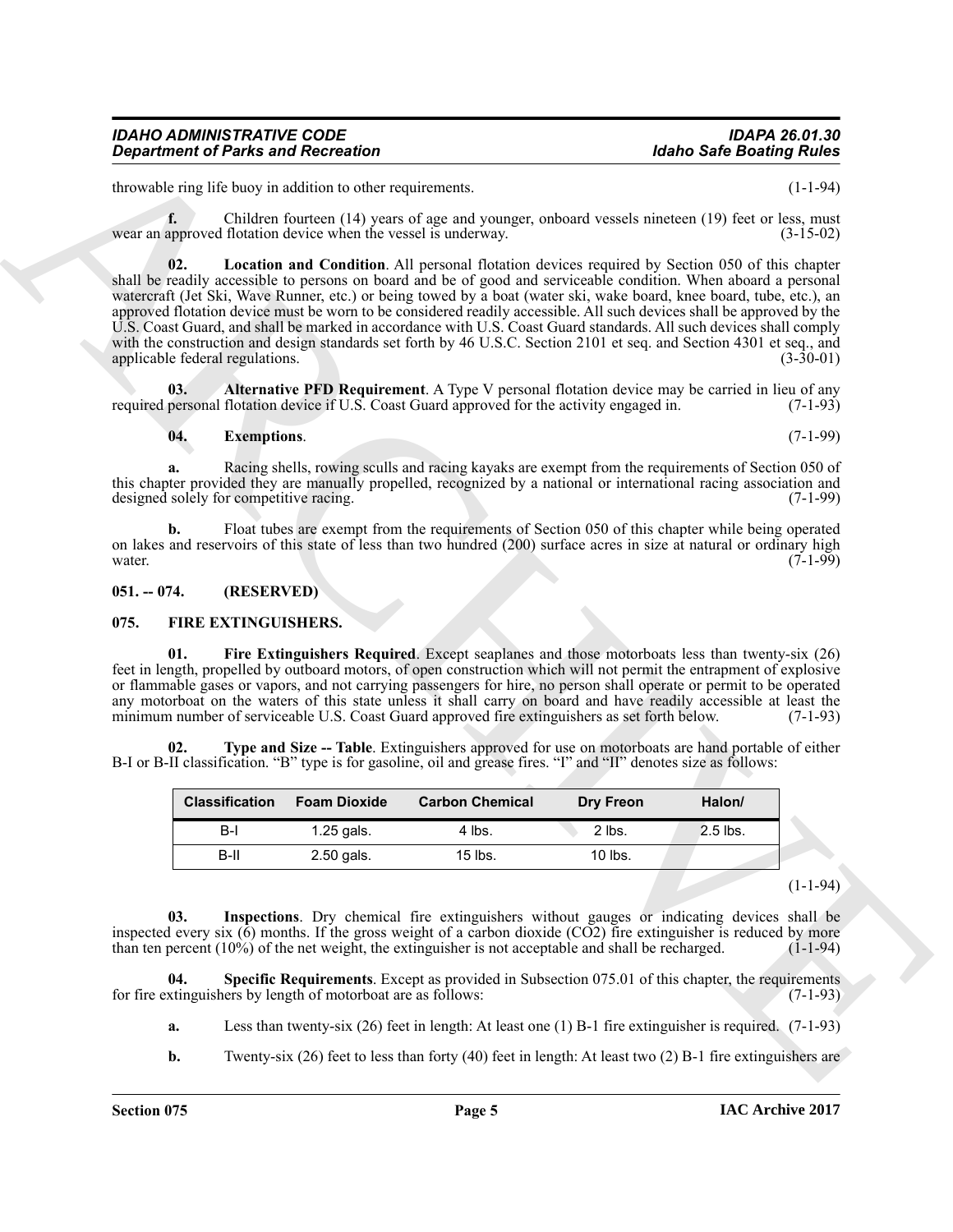throwable ring life buoy in addition to other requirements. (1-1-94)

<span id="page-4-9"></span>**f.** Children fourteen (14) years of age and younger, onboard vessels nineteen (19) feet or less, must wear an approved flotation device when the vessel is underway. (3-15-02)

**Considered Paints and Receivation**<br>
Hotels and Receivation could a result and the same stress of the same of the same of the same of the same of the same of the same of the same of the same of the same of the same of the **02. Location and Condition**. All personal flotation devices required by Section 050 of this chapter shall be readily accessible to persons on board and be of good and serviceable condition. When aboard a personal watercraft (Jet Ski, Wave Runner, etc.) or being towed by a boat (water ski, wake board, knee board, tube, etc.), an approved flotation device must be worn to be considered readily accessible. All such devices shall be approved by the U.S. Coast Guard, and shall be marked in accordance with U.S. Coast Guard standards. All such devices shall comply with the construction and design standards set forth by 46 U.S.C. Section 2101 et seq. and Section 4301 et seq., and applicable federal regulations. (3-30-01) applicable federal regulations.

**03. Alternative PFD Requirement**. A Type V personal flotation device may be carried in lieu of any required personal flotation device if U.S. Coast Guard approved for the activity engaged in. (7-1-93)

#### <span id="page-4-8"></span><span id="page-4-7"></span>**04. Exemptions**. (7-1-99)

**a.** Racing shells, rowing sculls and racing kayaks are exempt from the requirements of Section 050 of this chapter provided they are manually propelled, recognized by a national or international racing association and designed solely for competitive racing. designed solely for competitive racing.

**b.** Float tubes are exempt from the requirements of Section 050 of this chapter while being operated on lakes and reservoirs of this state of less than two hundred (200) surface acres in size at natural or ordinary high water.  $(7-1-99)$ water. (7-1-99)

#### <span id="page-4-0"></span>**051. -- 074. (RESERVED)**

#### <span id="page-4-2"></span><span id="page-4-1"></span>**075. FIRE EXTINGUISHERS.**

<span id="page-4-3"></span>Fire Extinguishers Required. Except seaplanes and those motorboats less than twenty-six (26) feet in length, propelled by outboard motors, of open construction which will not permit the entrapment of explosive or flammable gases or vapors, and not carrying passengers for hire, no person shall operate or permit to be operated any motorboat on the waters of this state unless it shall carry on board and have readily accessible at least the minimum number of serviceable U.S. Coast Guard approved fire extinguishers as set forth below. (7-1-93) minimum number of serviceable U.S. Coast Guard approved fire extinguishers as set forth below.

**02. Type and Size -- Table**. Extinguishers approved for use on motorboats are hand portable of either B-I or B-II classification. "B" type is for gasoline, oil and grease fires. "I" and "II" denotes size as follows:

<span id="page-4-6"></span>

| <b>Classification</b> | <b>Foam Dioxide</b> | <b>Carbon Chemical</b><br>Dry Freon |           | Halon/     |
|-----------------------|---------------------|-------------------------------------|-----------|------------|
| B-l                   | $1.25$ gals.        | 4 lbs.<br>2 lbs.                    |           | $2.5$ lbs. |
| B-II                  | 2.50 gals.          | $15$ lbs.                           | $10$ lbs. |            |
|                       |                     |                                     |           |            |

(1-1-94)

<span id="page-4-4"></span>**03. Inspections**. Dry chemical fire extinguishers without gauges or indicating devices shall be inspected every six (6) months. If the gross weight of a carbon dioxide (CO2) fire extinguisher is reduced by more than ten percent (10%) of the net weight, the extinguisher is not acceptable and shall be recharged. (1-1than ten percent  $(10\%)$  of the net weight, the extinguisher is not acceptable and shall be recharged.

**04.** Specific Requirements. Except as provided in Subsection 075.01 of this chapter, the requirements extinguishers by length of motorboat are as follows: (7-1-93) for fire extinguishers by length of motorboat are as follows:

<span id="page-4-5"></span>**a.** Less than twenty-six (26) feet in length: At least one (1) B-1 fire extinguisher is required. (7-1-93)

**b.** Twenty-six (26) feet to less than forty (40) feet in length: At least two (2) B-1 fire extinguishers are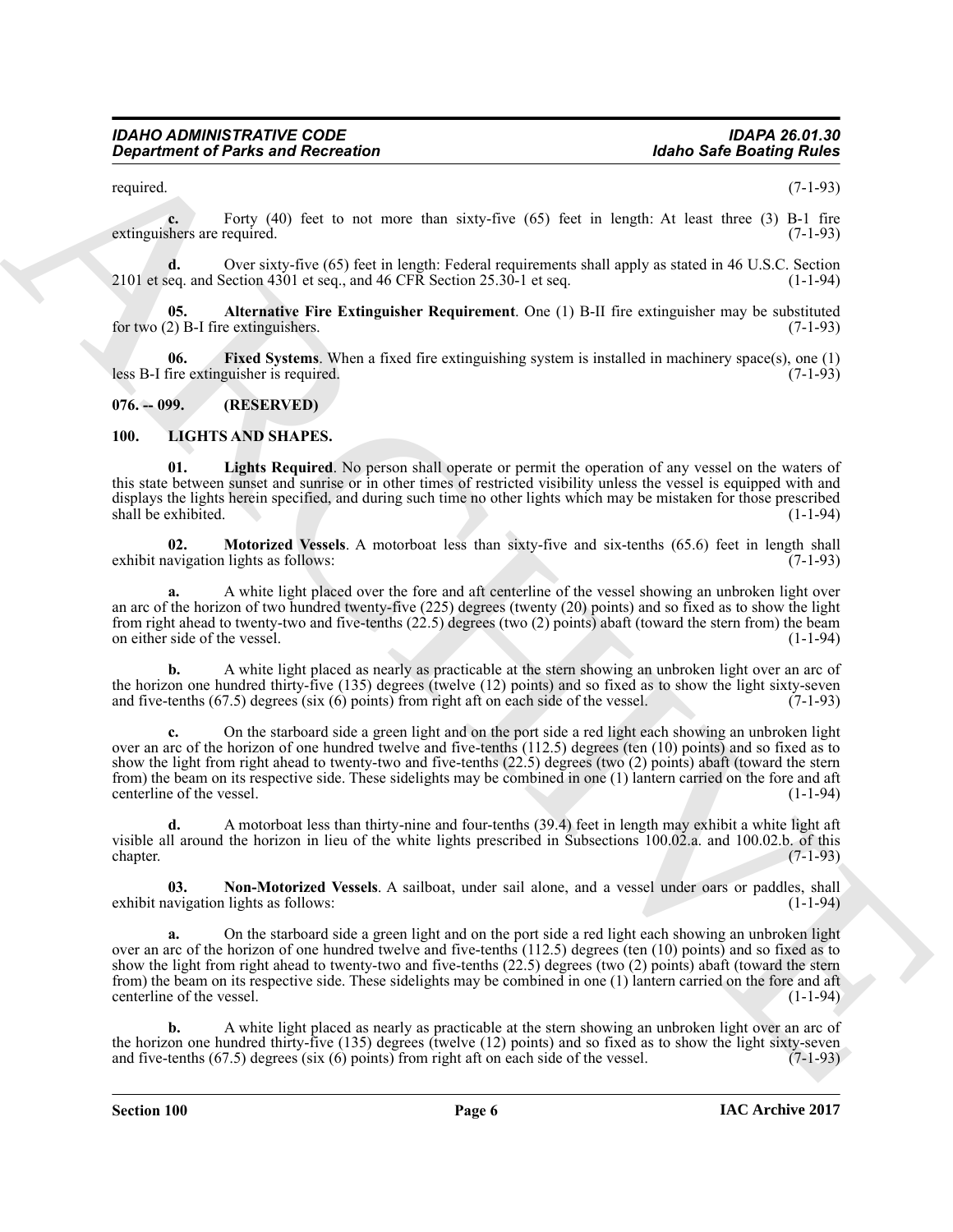required. (7-1-93)

**c.** Forty (40) feet to not more than sixty-five (65) feet in length: At least three (3) B-1 fire extinguishers are required. (7-1-93)

**d.** Over sixty-five (65) feet in length: Federal requirements shall apply as stated in 46 U.S.C. Section eq. and Section 4301 et seq., and 46 CFR Section 25.30-1 et seq. 2101 et seq. and Section 4301 et seq., and 46 CFR Section  $25.30-1$  et seq.

<span id="page-5-2"></span>**05. Alternative Fire Extinguisher Requirement**. One (1) B-II fire extinguisher may be substituted for two (2) B-I fire extinguishers. (7-1-93)

<span id="page-5-3"></span>**06. Fixed Systems**. When a fixed fire extinguishing system is installed in machinery space(s), one (1) less B-I fire extinguisher is required.

<span id="page-5-0"></span>**076. -- 099. (RESERVED)**

# <span id="page-5-5"></span><span id="page-5-4"></span><span id="page-5-1"></span>**100. LIGHTS AND SHAPES.**

**01. Lights Required**. No person shall operate or permit the operation of any vessel on the waters of this state between sunset and sunrise or in other times of restricted visibility unless the vessel is equipped with and displays the lights herein specified, and during such time no other lights which may be mistaken for those prescribed<br>(1-1-94) shall be exhibited.

<span id="page-5-6"></span>**02. Motorized Vessels**. A motorboat less than sixty-five and six-tenths (65.6) feet in length shall exhibit navigation lights as follows: (7-1-93)

**a.** A white light placed over the fore and aft centerline of the vessel showing an unbroken light over an arc of the horizon of two hundred twenty-five (225) degrees (twenty (20) points) and so fixed as to show the light from right ahead to twenty-two and five-tenths  $(22.5)$  degrees (two  $(2)$  points) abaft (toward the stern from) the beam<br>on either side of the vessel.  $(1-1-94)$ on either side of the vessel.

**b.** A white light placed as nearly as practicable at the stern showing an unbroken light over an arc of the horizon one hundred thirty-five (135) degrees (twelve (12) points) and so fixed as to show the light sixty-seven and five-tenths (67.5) degrees (six (6) points) from right aft on each side of the vessel.  $(7-1-93)$ and five-tenths  $(67.5)$  degrees  $(six(6)$  points) from right aft on each side of the vessel.

**c.** On the starboard side a green light and on the port side a red light each showing an unbroken light over an arc of the horizon of one hundred twelve and five-tenths (112.5) degrees (ten (10) points) and so fixed as to show the light from right ahead to twenty-two and five-tenths (22.5) degrees (two (2) points) abaft (toward the stern from) the beam on its respective side. These sidelights may be combined in one (1) lantern carried on the fore and aft centerline of the vessel.

**d.** A motorboat less than thirty-nine and four-tenths (39.4) feet in length may exhibit a white light aft visible all around the horizon in lieu of the white lights prescribed in Subsections 100.02.a. and 100.02.b. of this chapter. (7-1-93)  $\epsilon$ chapter. (7-1-93)

<span id="page-5-7"></span>**03. Non-Motorized Vessels**. A sailboat, under sail alone, and a vessel under oars or paddles, shall avigation lights as follows: (1-1-94) exhibit navigation lights as follows:

**Considered of Parks and Recreation**<br>
Notice Safe Booking in the new Parks of the New York (6) for the large-stream considerably and the new York (1) Feb. (4)<br>
Since the new York (1) Feb. (4) for the new York (1) for the **a.** On the starboard side a green light and on the port side a red light each showing an unbroken light over an arc of the horizon of one hundred twelve and five-tenths (112.5) degrees (ten (10) points) and so fixed as to show the light from right ahead to twenty-two and five-tenths (22.5) degrees (two (2) points) abaft (toward the stern from) the beam on its respective side. These sidelights may be combined in one (1) lantern carried on the fore and aft centerline of the vessel.

**b.** A white light placed as nearly as practicable at the stern showing an unbroken light over an arc of the horizon one hundred thirty-five (135) degrees (twelve (12) points) and so fixed as to show the light sixty-seven and five-tenths (67.5) degrees (six (6) points) from right aft on each side of the vessel. (7-1-93) and five-tenths  $(67.5)$  degrees  $(six(6)$  points) from right aft on each side of the vessel.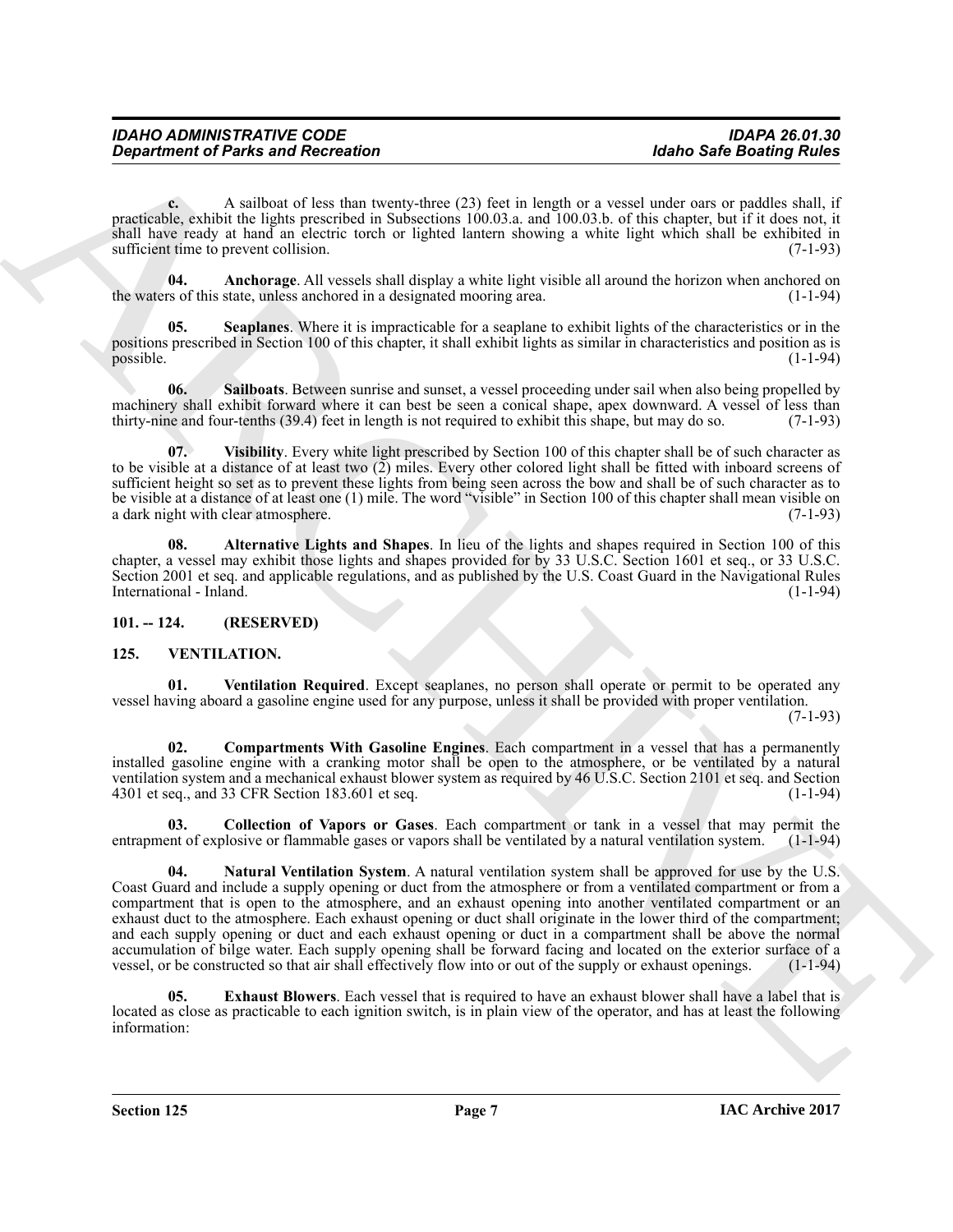| <b>IDAHO ADMINISTRATIVE CODE</b>          | <b>IDAPA 26.01.30</b>           |
|-------------------------------------------|---------------------------------|
| <b>Department of Parks and Recreation</b> | <b>Idaho Safe Boating Rules</b> |

**c.** A sailboat of less than twenty-three (23) feet in length or a vessel under oars or paddles shall, if practicable, exhibit the lights prescribed in Subsections 100.03.a. and 100.03.b. of this chapter, but if it does not, it shall have ready at hand an electric torch or lighted lantern showing a white light which shall be exhibited in sufficient time to prevent collision. (7-1-93)

<span id="page-6-3"></span>**04. Anchorage**. All vessels shall display a white light visible all around the horizon when anchored on the waters of this state, unless anchored in a designated mooring area. (1-1-94)

<span id="page-6-5"></span>**Seaplanes**. Where it is impracticable for a seaplane to exhibit lights of the characteristics or in the positions prescribed in Section 100 of this chapter, it shall exhibit lights as similar in characteristics and position as is possible. (1-1-94) possible. (1-1-94)

<span id="page-6-4"></span>**06. Sailboats**. Between sunrise and sunset, a vessel proceeding under sail when also being propelled by machinery shall exhibit forward where it can best be seen a conical shape, apex downward. A vessel of less than thirty-nine and four-tenths (39.4) feet in length is not required to exhibit this shape, but may do so. (7-1-9 thirty-nine and four-tenths (39.4) feet in length is not required to exhibit this shape, but may do so.

<span id="page-6-6"></span>**Visibility**. Every white light prescribed by Section 100 of this chapter shall be of such character as to be visible at a distance of at least two (2) miles. Every other colored light shall be fitted with inboard screens of sufficient height so set as to prevent these lights from being seen across the bow and shall be of such character as to be visible at a distance of at least one (1) mile. The word "visible" in Section 100 of this chapter shall mean visible on<br>a dark night with clear atmosphere. (7-1-93) a dark night with clear atmosphere.

<span id="page-6-2"></span>**08. Alternative Lights and Shapes**. In lieu of the lights and shapes required in Section 100 of this chapter, a vessel may exhibit those lights and shapes provided for by 33 U.S.C. Section 1601 et seq., or 33 U.S.C. Section 2001 et seq. and applicable regulations, and as published by the U.S. Coast Guard in the Navigational Rules International - Inland.

<span id="page-6-0"></span>**101. -- 124. (RESERVED)**

# <span id="page-6-7"></span><span id="page-6-1"></span>**125. VENTILATION.**

<span id="page-6-12"></span>**01. Ventilation Required**. Except seaplanes, no person shall operate or permit to be operated any vessel having aboard a gasoline engine used for any purpose, unless it shall be provided with proper ventilation.

(7-1-93)

<span id="page-6-9"></span>**02. Compartments With Gasoline Engines**. Each compartment in a vessel that has a permanently installed gasoline engine with a cranking motor shall be open to the atmosphere, or be ventilated by a natural ventilation system and a mechanical exhaust blower system as required by 46 U.S.C. Section 2101 et seq. and Section 4301 et seq., and 33 CFR Section 183.601 et seq. 4301 et seq., and 33 CFR Section 183.601 et seq.

<span id="page-6-11"></span><span id="page-6-8"></span>**03. Collection of Vapors or Gases**. Each compartment or tank in a vessel that may permit the entrapment of explosive or flammable gases or vapors shall be ventilated by a natural ventilation system. (1-1-94)

General de la content de la contentación de la content de la content de la content de la content de la content<br>
para la content de la contenta de la contenta de la contenta de la contenta de la contenta de la contenta de **04. Natural Ventilation System**. A natural ventilation system shall be approved for use by the U.S. Coast Guard and include a supply opening or duct from the atmosphere or from a ventilated compartment or from a compartment that is open to the atmosphere, and an exhaust opening into another ventilated compartment or an exhaust duct to the atmosphere. Each exhaust opening or duct shall originate in the lower third of the compartment; and each supply opening or duct and each exhaust opening or duct in a compartment shall be above the normal accumulation of bilge water. Each supply opening shall be forward facing and located on the exterior surface of a vessel, or be constructed so that air shall effectively flow into or out of the supply or exhaust openings. vessel, or be constructed so that air shall effectively flow into or out of the supply or exhaust openings.

<span id="page-6-10"></span>**05. Exhaust Blowers**. Each vessel that is required to have an exhaust blower shall have a label that is located as close as practicable to each ignition switch, is in plain view of the operator, and has at least the following information: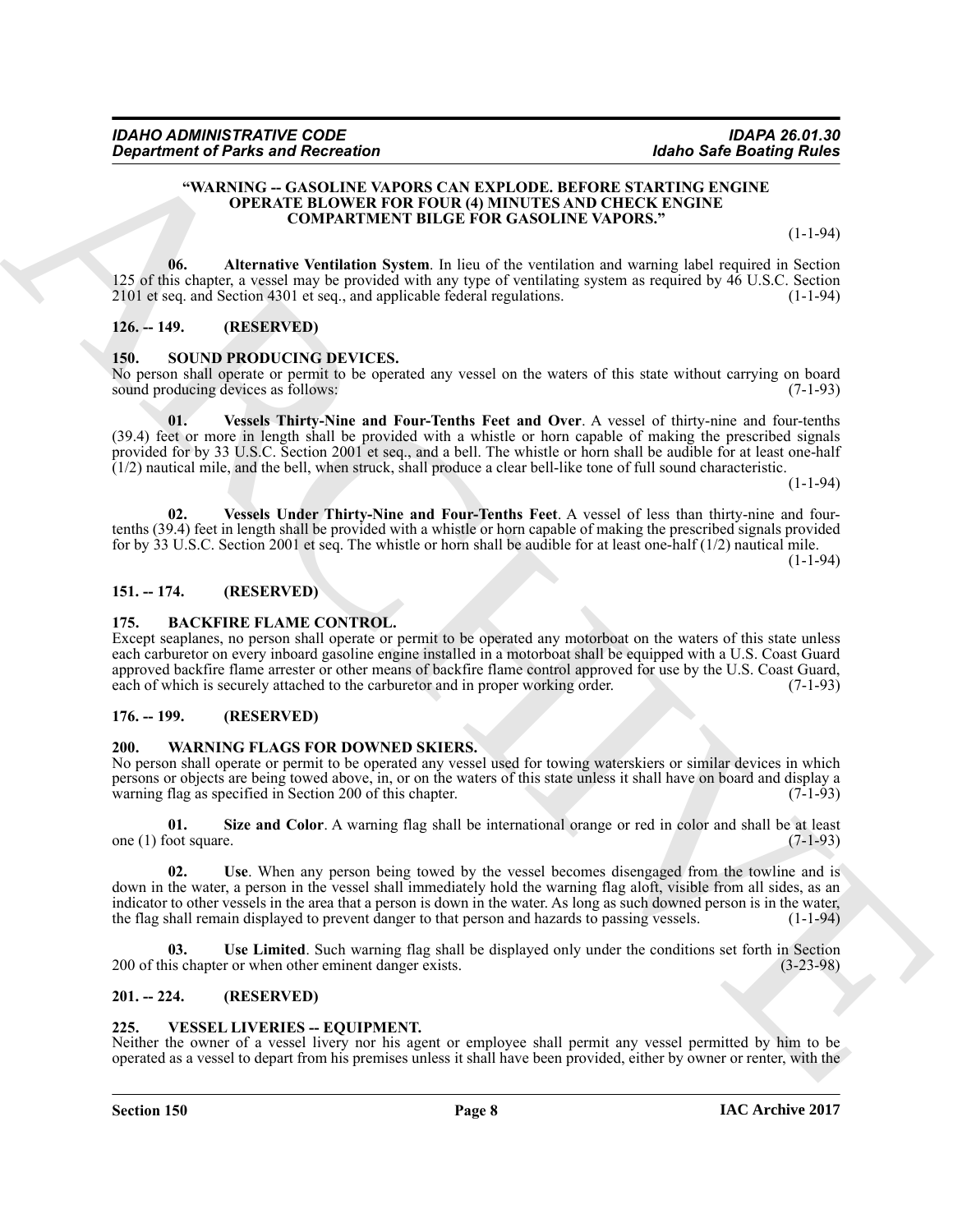#### <span id="page-7-12"></span>**"WARNING -- GASOLINE VAPORS CAN EXPLODE. BEFORE STARTING ENGINE OPERATE BLOWER FOR FOUR (4) MINUTES AND CHECK ENGINE COMPARTMENT BILGE FOR GASOLINE VAPORS."**

(1-1-94)

**06. Alternative Ventilation System**. In lieu of the ventilation and warning label required in Section 125 of this chapter, a vessel may be provided with any type of ventilating system as required by 46 U.S.C. Section 2101 et seq. and Section 4301 et seq., and applicable federal regulations. (1-1-94)

# <span id="page-7-0"></span>**126. -- 149. (RESERVED)**

#### <span id="page-7-9"></span><span id="page-7-1"></span>**150. SOUND PRODUCING DEVICES.**

<span id="page-7-10"></span>No person shall operate or permit to be operated any vessel on the waters of this state without carrying on board sound producing devices as follows: (7-1-93) sound producing devices as follows:

ARCHIVE **01. Vessels Thirty-Nine and Four-Tenths Feet and Over**. A vessel of thirty-nine and four-tenths (39.4) feet or more in length shall be provided with a whistle or horn capable of making the prescribed signals provided for by 33 U.S.C. Section 2001 et seq., and a bell. The whistle or horn shall be audible for at least one-half  $(1/2)$  nautical mile, and the bell, when struck, shall produce a clear bell-like tone of full sound characteristic.

(1-1-94)

<span id="page-7-11"></span>**02. Vessels Under Thirty-Nine and Four-Tenths Feet**. A vessel of less than thirty-nine and fourtenths (39.4) feet in length shall be provided with a whistle or horn capable of making the prescribed signals provided for by 33 U.S.C. Section 2001 et seq. The whistle or horn shall be audible for at least one-half (1/2) nautical mile.

 $(1-1-94)$ 

#### <span id="page-7-2"></span>**151. -- 174. (RESERVED)**

#### <span id="page-7-8"></span><span id="page-7-3"></span>**175. BACKFIRE FLAME CONTROL.**

Except seaplanes, no person shall operate or permit to be operated any motorboat on the waters of this state unless each carburetor on every inboard gasoline engine installed in a motorboat shall be equipped with a U.S. Coast Guard approved backfire flame arrester or other means of backfire flame control approved for use by the U.S. Coast Guard, each of which is securely attached to the carburetor and in proper working order. (7-1-93)

#### <span id="page-7-4"></span>**176. -- 199. (RESERVED)**

#### <span id="page-7-14"></span><span id="page-7-5"></span>**200. WARNING FLAGS FOR DOWNED SKIERS.**

No person shall operate or permit to be operated any vessel used for towing waterskiers or similar devices in which persons or objects are being towed above, in, or on the waters of this state unless it shall have on board and display a warning flag as specified in Section 200 of this chapter.

<span id="page-7-15"></span>**01. Size and Color**. A warning flag shall be international orange or red in color and shall be at least one (1) foot square.  $(7-1-93)$ 

<span id="page-7-16"></span>**02. Use**. When any person being towed by the vessel becomes disengaged from the towline and is down in the water, a person in the vessel shall immediately hold the warning flag aloft, visible from all sides, as an indicator to other vessels in the area that a person is down in the water. As long as such downed person is in the water, the flag shall remain displayed to prevent danger to that person and hazards to passing vessels. (1-1-94)

<span id="page-7-17"></span>**Use Limited**. Such warning flag shall be displayed only under the conditions set forth in Section r or when other eminent danger exists. (3-23-98) 200 of this chapter or when other eminent danger exists.

#### <span id="page-7-6"></span>**201. -- 224. (RESERVED)**

#### <span id="page-7-13"></span><span id="page-7-7"></span>**225. VESSEL LIVERIES -- EQUIPMENT.**

Neither the owner of a vessel livery nor his agent or employee shall permit any vessel permitted by him to be operated as a vessel to depart from his premises unless it shall have been provided, either by owner or renter, with the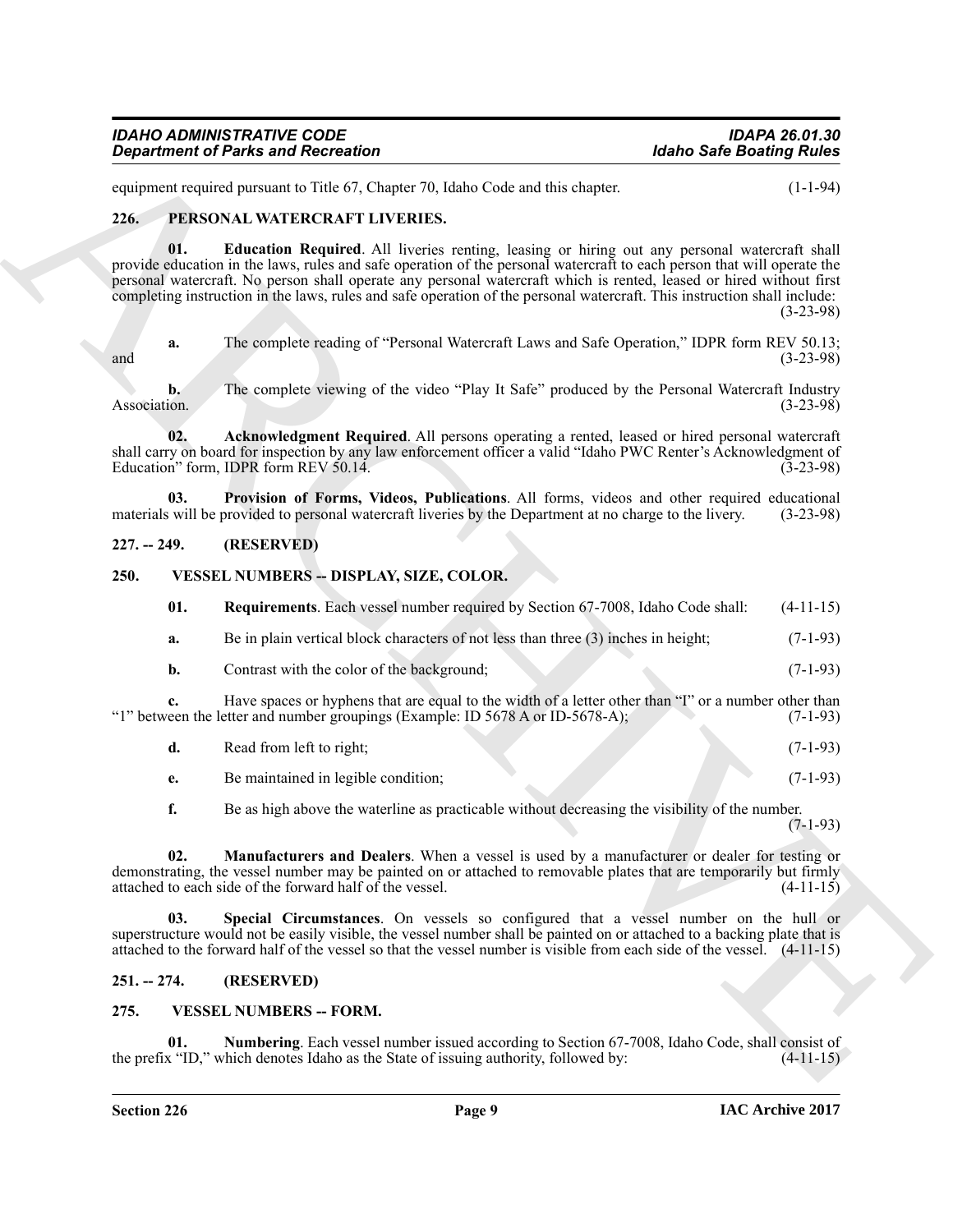| <b>IDAHO ADMINISTRATIVE CODE</b>          | <b>IDAPA 26.01.30</b>           |
|-------------------------------------------|---------------------------------|
| <b>Department of Parks and Recreation</b> | <b>Idaho Safe Boating Rules</b> |

equipment required pursuant to Title 67, Chapter 70, Idaho Code and this chapter. (1-1-94)

#### <span id="page-8-7"></span><span id="page-8-5"></span><span id="page-8-0"></span>**226. PERSONAL WATERCRAFT LIVERIES.**

*Goparines of Parks and Recreation*<br>
Address and Richel of Active Change W. John Cole and the state is a state of the state of the state of the state of the state of the state of the state of the state of the state of t **01. Education Required**. All liveries renting, leasing or hiring out any personal watercraft shall provide education in the laws, rules and safe operation of the personal watercraft to each person that will operate the personal watercraft. No person shall operate any personal watercraft which is rented, leased or hired without first completing instruction in the laws, rules and safe operation of the personal watercraft. This instruction shall include:

(3-23-98)

**a.** The complete reading of "Personal Watercraft Laws and Safe Operation," IDPR form REV 50.13;<br>(3-23-98)  $(3-23-98)$ 

**b.** The complete viewing of the video "Play It Safe" produced by the Personal Watercraft Industry Association. (3-23-98)

<span id="page-8-6"></span>**02. Acknowledgment Required**. All persons operating a rented, leased or hired personal watercraft shall carry on board for inspection by any law enforcement officer a valid "Idaho PWC Renter's Acknowledgment of Education" form, IDPR form REV 50.14. (3-23-98)

<span id="page-8-8"></span>**03. Provision of Forms, Videos, Publications**. All forms, videos and other required educational waters will be provided to personal watercraft liveries by the Department at no charge to the livery. (3-23-98) materials will be provided to personal watercraft liveries by the Department at no charge to the livery.

#### <span id="page-8-1"></span>**227. -- 249. (RESERVED)**

#### <span id="page-8-2"></span>**250. VESSEL NUMBERS -- DISPLAY, SIZE, COLOR.**

<span id="page-8-11"></span><span id="page-8-9"></span>

| 01. | <b>Requirements.</b> Each vessel number required by Section 67-7008, Idaho Code shall: | $(4-11-15)$ |
|-----|----------------------------------------------------------------------------------------|-------------|
| а.  | Be in plain vertical block characters of not less than three $(3)$ inches in height;   | $(7-1-93)$  |

**b.** Contrast with the color of the background; (7-1-93)

**c.** Have spaces or hyphens that are equal to the width of a letter other than "I" or a number other than even the letter and number groupings (Example: ID 5678 A or ID-5678-A); (7-1-93) "1" between the letter and number groupings (Example: ID 5678 A or ID-5678-A);

|  |  | Read from left to right; |  |  |  |  |  | $(7-1-93)$ |
|--|--|--------------------------|--|--|--|--|--|------------|
|--|--|--------------------------|--|--|--|--|--|------------|

**e.** Be maintained in legible condition; (7-1-93)

<span id="page-8-12"></span><span id="page-8-10"></span>**f.** Be as high above the waterline as practicable without decreasing the visibility of the number. (7-1-93)

**02. Manufacturers and Dealers**. When a vessel is used by a manufacturer or dealer for testing or demonstrating, the vessel number may be painted on or attached to removable plates that are temporarily but firmly attached to each side of the forward half of the vessel. (4-11-15) attached to each side of the forward half of the vessel.

**Special Circumstances**. On vessels so configured that a vessel number on the hull or superstructure would not be easily visible, the vessel number shall be painted on or attached to a backing plate that is attached to the forward half of the vessel so that the vessel number is visible from each side of the vessel. (4-11-15)

#### <span id="page-8-3"></span>**251. -- 274. (RESERVED)**

#### <span id="page-8-13"></span><span id="page-8-4"></span>**275. VESSEL NUMBERS -- FORM.**

<span id="page-8-14"></span>**Numbering**. Each vessel number issued according to Section 67-7008, Idaho Code, shall consist of hich denotes Idaho as the State of issuing authority, followed by:  $(4-11-15)$ the prefix "ID," which denotes Idaho as the State of issuing authority, followed by: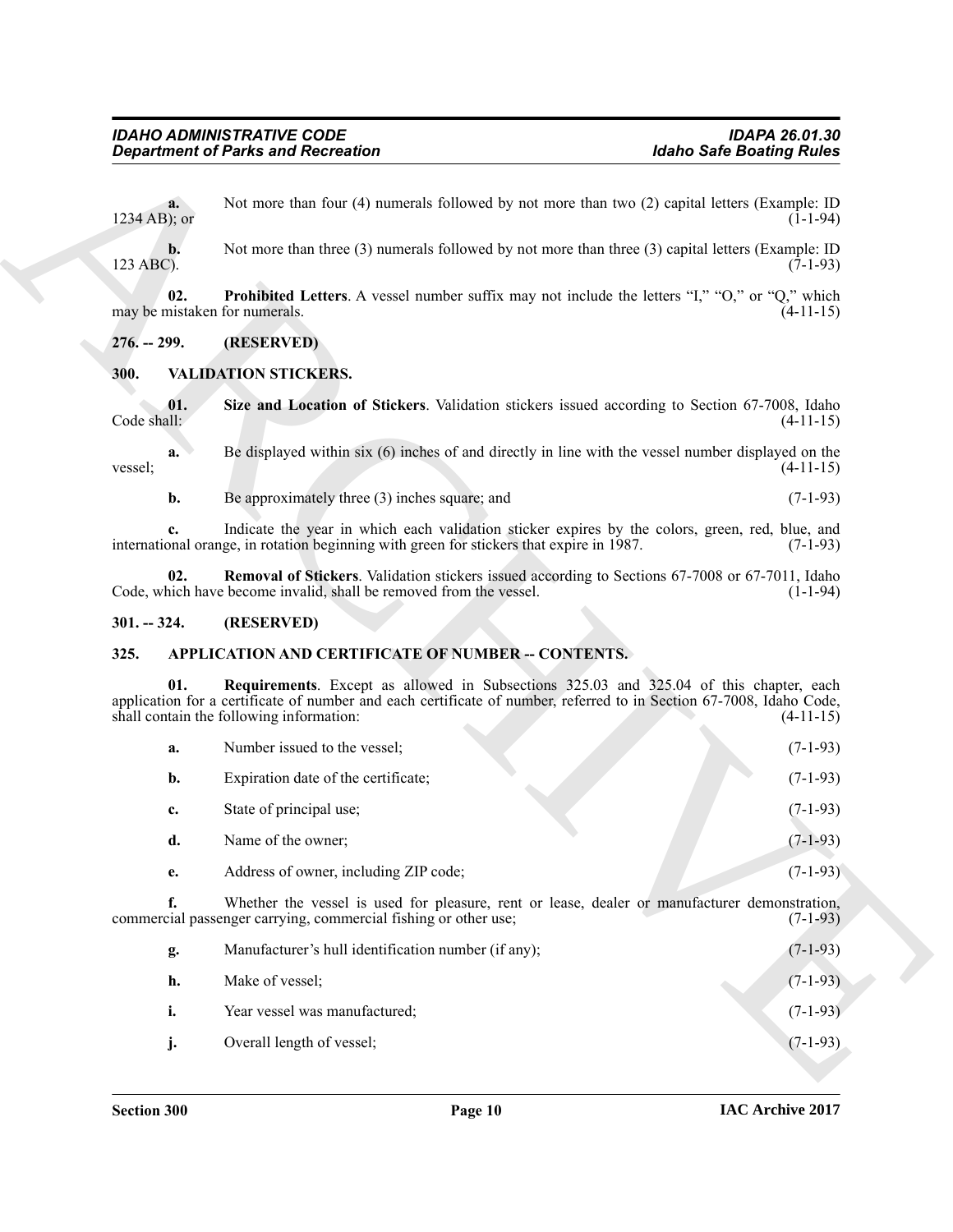# <span id="page-9-9"></span><span id="page-9-8"></span><span id="page-9-6"></span><span id="page-9-1"></span><span id="page-9-0"></span>**300. VALIDATION STICKERS.**

# <span id="page-9-7"></span><span id="page-9-2"></span>**301. -- 324. (RESERVED)**

# <span id="page-9-5"></span><span id="page-9-4"></span><span id="page-9-3"></span>**325. APPLICATION AND CERTIFICATE OF NUMBER -- CONTENTS.**

|                      | <b>Department of Parks and Recreation</b>                                                                                                                                                                                                                 | <b>Idaho Safe Boating Rules</b>                                                                 |
|----------------------|-----------------------------------------------------------------------------------------------------------------------------------------------------------------------------------------------------------------------------------------------------------|-------------------------------------------------------------------------------------------------|
| a.<br>$1234$ AB); or | Not more than four (4) numerals followed by not more than two (2) capital letters (Example: ID                                                                                                                                                            | $(1-1-94)$                                                                                      |
| b.<br>123 ABC).      | Not more than three (3) numerals followed by not more than three (3) capital letters (Example: ID                                                                                                                                                         | $(7-1-93)$                                                                                      |
| 02.                  | <b>Prohibited Letters.</b> A vessel number suffix may not include the letters "I," "O," or "Q," which<br>may be mistaken for numerals.                                                                                                                    | $(4-11-15)$                                                                                     |
| $276. - 299.$        | (RESERVED)                                                                                                                                                                                                                                                |                                                                                                 |
| 300.                 | <b>VALIDATION STICKERS.</b>                                                                                                                                                                                                                               |                                                                                                 |
| 01.<br>Code shall:   | Size and Location of Stickers. Validation stickers issued according to Section 67-7008, Idaho                                                                                                                                                             | $(4-11-15)$                                                                                     |
| a.<br>vessel;        | Be displayed within six (6) inches of and directly in line with the vessel number displayed on the                                                                                                                                                        | $(4-11-15)$                                                                                     |
| b.                   | Be approximately three (3) inches square; and                                                                                                                                                                                                             | $(7-1-93)$                                                                                      |
| c.                   | Indicate the year in which each validation sticker expires by the colors, green, red, blue, and<br>international orange, in rotation beginning with green for stickers that expire in 1987.                                                               | $(7-1-93)$                                                                                      |
| 02.                  | Removal of Stickers. Validation stickers issued according to Sections 67-7008 or 67-7011, Idaho<br>Code, which have become invalid, shall be removed from the vessel.                                                                                     | $(1-1-94)$                                                                                      |
| $301. - 324.$        | (RESERVED)                                                                                                                                                                                                                                                |                                                                                                 |
| 325.                 |                                                                                                                                                                                                                                                           |                                                                                                 |
|                      | APPLICATION AND CERTIFICATE OF NUMBER -- CONTENTS.                                                                                                                                                                                                        |                                                                                                 |
| 01.                  | Requirements. Except as allowed in Subsections 325.03 and 325.04 of this chapter, each<br>application for a certificate of number and each certificate of number, referred to in Section 67-7008, Idaho Code,<br>shall contain the following information: |                                                                                                 |
| a.                   | Number issued to the vessel;                                                                                                                                                                                                                              |                                                                                                 |
| b.                   | Expiration date of the certificate;                                                                                                                                                                                                                       |                                                                                                 |
| c.                   | State of principal use;                                                                                                                                                                                                                                   |                                                                                                 |
| d.                   | Name of the owner;                                                                                                                                                                                                                                        | $(7-1-93)$                                                                                      |
| e.                   | Address of owner, including ZIP code;                                                                                                                                                                                                                     |                                                                                                 |
| f.                   | Whether the vessel is used for pleasure, rent or lease, dealer or manufacturer demonstration,<br>commercial passenger carrying, commercial fishing or other use;                                                                                          |                                                                                                 |
| g.                   | Manufacturer's hull identification number (if any);                                                                                                                                                                                                       | $(4-11-15)$<br>$(7-1-93)$<br>$(7-1-93)$<br>$(7-1-93)$<br>$(7-1-93)$<br>$(7-1-93)$<br>$(7-1-93)$ |
| h.                   | Make of vessel;                                                                                                                                                                                                                                           | $(7-1-93)$                                                                                      |
| i.                   | Year vessel was manufactured;                                                                                                                                                                                                                             | $(7-1-93)$                                                                                      |

| g. | Manufacturer's hull identification number (if any); | $(7-1-93)$ |
|----|-----------------------------------------------------|------------|
| h. | Make of vessel:                                     | $(7-1-93)$ |
|    | Year vessel was manufactured;                       | $(7-1-93)$ |
|    | Overall length of vessel;                           | $(7-1-93)$ |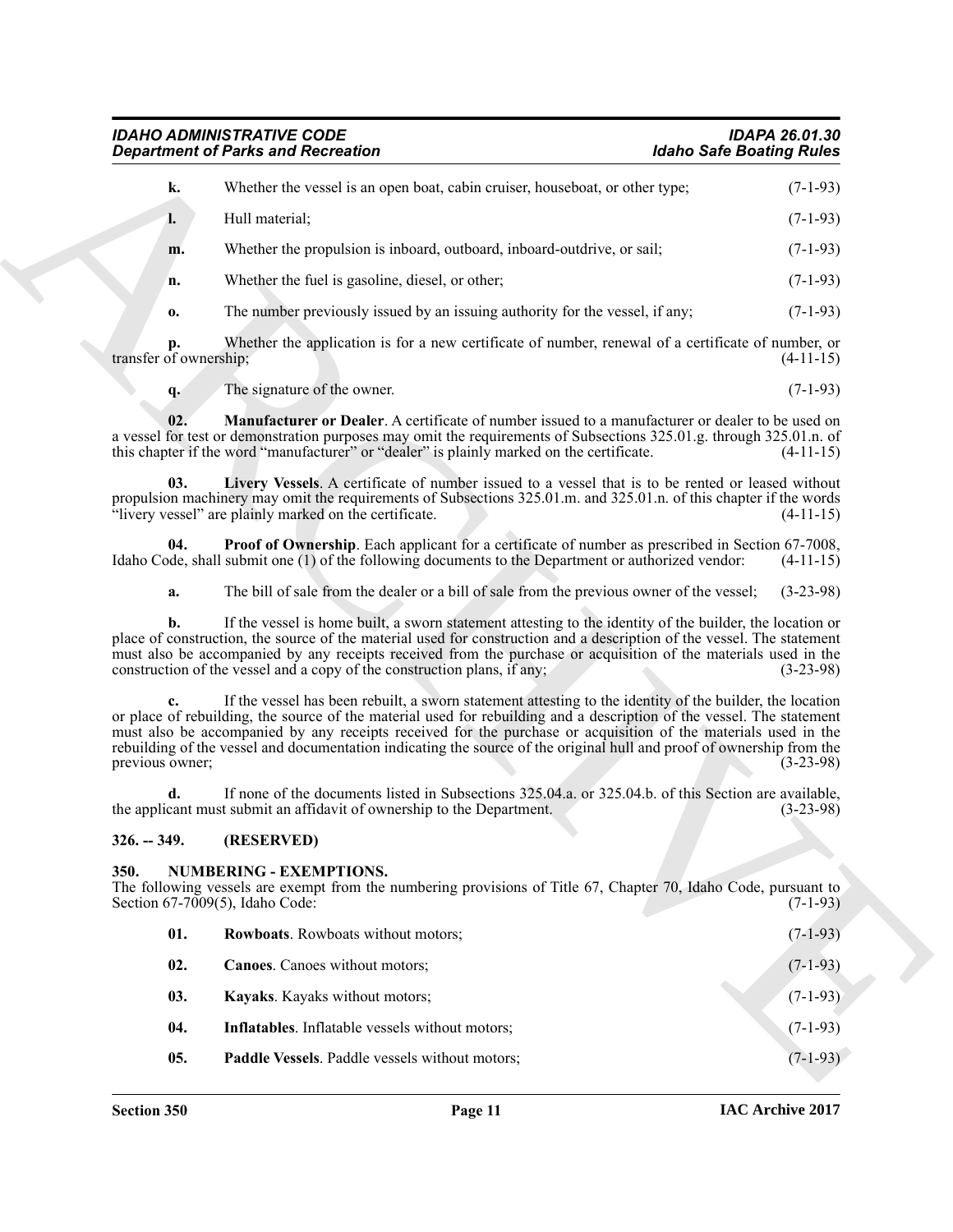<span id="page-10-3"></span><span id="page-10-2"></span>

| <b>IDAHO ADMINISTRATIVE CODE</b>          | <b>IDAPA 26.01.30</b>           |
|-------------------------------------------|---------------------------------|
| <b>Department of Parks and Recreation</b> | <b>Idaho Safe Boating Rules</b> |

|                              | <b>Department of Parks and Recreation</b>                                                                                                                                                                                                                                                                                                                                                                                                                                    | <b>Idaho Safe Boating Rules</b> |
|------------------------------|------------------------------------------------------------------------------------------------------------------------------------------------------------------------------------------------------------------------------------------------------------------------------------------------------------------------------------------------------------------------------------------------------------------------------------------------------------------------------|---------------------------------|
| k.                           | Whether the vessel is an open boat, cabin cruiser, houseboat, or other type;                                                                                                                                                                                                                                                                                                                                                                                                 | $(7-1-93)$                      |
| l.                           | Hull material;                                                                                                                                                                                                                                                                                                                                                                                                                                                               | $(7-1-93)$                      |
| m.                           | Whether the propulsion is inboard, outboard, inboard-outdrive, or sail;                                                                                                                                                                                                                                                                                                                                                                                                      | $(7-1-93)$                      |
| n.                           | Whether the fuel is gasoline, diesel, or other;                                                                                                                                                                                                                                                                                                                                                                                                                              | $(7-1-93)$                      |
| 0.                           | The number previously issued by an issuing authority for the vessel, if any;                                                                                                                                                                                                                                                                                                                                                                                                 | $(7-1-93)$                      |
| p.<br>transfer of ownership; | Whether the application is for a new certificate of number, renewal of a certificate of number, or                                                                                                                                                                                                                                                                                                                                                                           | $(4-11-15)$                     |
| q <sub>1</sub>               | The signature of the owner.                                                                                                                                                                                                                                                                                                                                                                                                                                                  | $(7-1-93)$                      |
| 02.                          | <b>Manufacturer or Dealer.</b> A certificate of number issued to a manufacturer or dealer to be used on<br>a vessel for test or demonstration purposes may omit the requirements of Subsections 325.01.g. through 325.01.n. of<br>this chapter if the word "manufacturer" or "dealer" is plainly marked on the certificate.                                                                                                                                                  | $(4-11-15)$                     |
| 03.                          | Livery Vessels. A certificate of number issued to a vessel that is to be rented or leased without<br>propulsion machinery may omit the requirements of Subsections 325.01.m. and 325.01.n. of this chapter if the words<br>"livery vessel" are plainly marked on the certificate.                                                                                                                                                                                            | $(4-11-15)$                     |
| 04.                          | <b>Proof of Ownership</b> . Each applicant for a certificate of number as prescribed in Section 67-7008,<br>Idaho Code, shall submit one (1) of the following documents to the Department or authorized vendor:                                                                                                                                                                                                                                                              | $(4-11-15)$                     |
| a.                           | The bill of sale from the dealer or a bill of sale from the previous owner of the vessel;                                                                                                                                                                                                                                                                                                                                                                                    | $(3-23-98)$                     |
| b.                           | If the vessel is home built, a sworn statement attesting to the identity of the builder, the location or<br>place of construction, the source of the material used for construction and a description of the vessel. The statement<br>must also be accompanied by any receipts received from the purchase or acquisition of the materials used in the<br>construction of the vessel and a copy of the construction plans, if any;                                            | $(3-23-98)$                     |
| previous owner;              | If the vessel has been rebuilt, a sworn statement attesting to the identity of the builder, the location<br>or place of rebuilding, the source of the material used for rebuilding and a description of the vessel. The statement<br>must also be accompanied by any receipts received for the purchase or acquisition of the materials used in the<br>rebuilding of the vessel and documentation indicating the source of the original hull and proof of ownership from the | $(3-23-98)$                     |
| d.                           | If none of the documents listed in Subsections 325.04.a. or 325.04.b. of this Section are available,<br>the applicant must submit an affidavit of ownership to the Department.                                                                                                                                                                                                                                                                                               | $(3-23-98)$                     |
| $326. - 349.$                | (RESERVED)                                                                                                                                                                                                                                                                                                                                                                                                                                                                   |                                 |
| 350.                         | <b>NUMBERING - EXEMPTIONS.</b><br>The following vessels are exempt from the numbering provisions of Title 67, Chapter 70, Idaho Code, pursuant to<br>Section $67-7009(5)$ , Idaho Code:                                                                                                                                                                                                                                                                                      | $(7-1-93)$                      |
| 01.                          | Rowboats. Rowboats without motors;                                                                                                                                                                                                                                                                                                                                                                                                                                           | $(7-1-93)$                      |
| 02.                          | Canoes. Canoes without motors;                                                                                                                                                                                                                                                                                                                                                                                                                                               | $(7-1-93)$                      |
| 03.                          | Kayaks. Kayaks without motors;                                                                                                                                                                                                                                                                                                                                                                                                                                               | $(7-1-93)$                      |
| 04.                          | Inflatables. Inflatable vessels without motors;                                                                                                                                                                                                                                                                                                                                                                                                                              | $(7-1-93)$                      |
|                              |                                                                                                                                                                                                                                                                                                                                                                                                                                                                              | $(7-1-93)$                      |

#### <span id="page-10-4"></span><span id="page-10-0"></span>**326. -- 349. (RESERVED)**

#### <span id="page-10-5"></span><span id="page-10-1"></span>**350. NUMBERING - EXEMPTIONS.**

<span id="page-10-10"></span><span id="page-10-9"></span><span id="page-10-8"></span><span id="page-10-7"></span><span id="page-10-6"></span>

| 01. | <b>Rowboats.</b> Rowboats without motors;              | $(7-1-93)$ |
|-----|--------------------------------------------------------|------------|
| 02. | <b>Canoes.</b> Canoes without motors;                  | $(7-1-93)$ |
| 03. | <b>Kayaks.</b> Kayaks without motors;                  | $(7-1-93)$ |
| 04. | <b>Inflatables.</b> Inflatable vessels without motors; | $(7-1-93)$ |
| 05. | Paddle Vessels. Paddle vessels without motors;         | $(7-1-93)$ |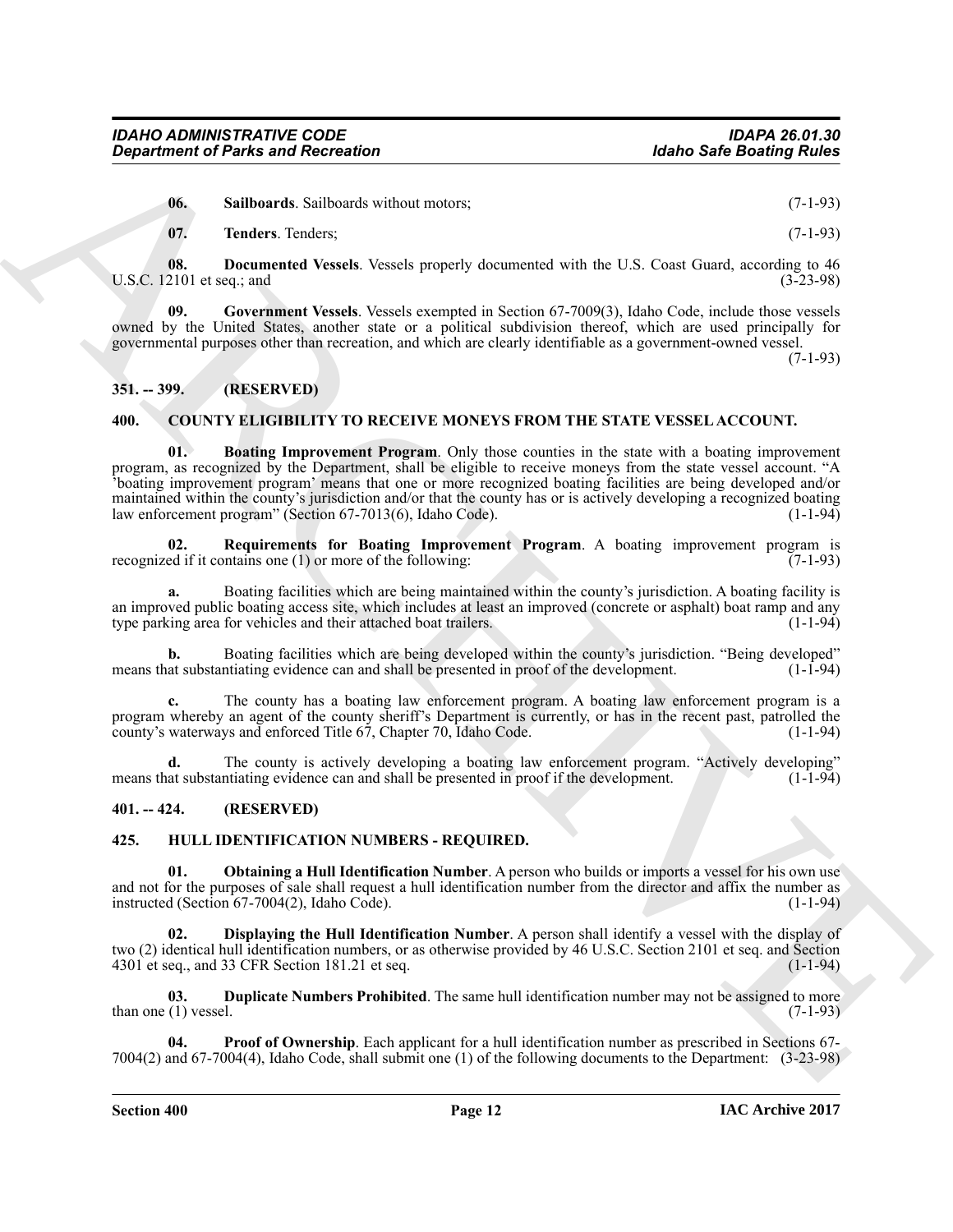<span id="page-11-15"></span><span id="page-11-14"></span><span id="page-11-12"></span>

| - 06.              | <b>Sailboards.</b> Sailboards without motors; | $(7-1-93)$ |
|--------------------|-----------------------------------------------|------------|
| $\blacksquare$ 07. | <b>Tenders.</b> Tenders;                      | $(7-1-93)$ |

**08.** Documented Vessels. Vessels properly documented with the U.S. Coast Guard, according to 46<br>2101 et seq : and (3-23-98) U.S.C.  $12101$  et seq.; and

<span id="page-11-13"></span>**09. Government Vessels**. Vessels exempted in Section 67-7009(3), Idaho Code, include those vessels owned by the United States, another state or a political subdivision thereof, which are used principally for governmental purposes other than recreation, and which are clearly identifiable as a government-owned vessel.

(7-1-93)

# <span id="page-11-0"></span>**351. -- 399. (RESERVED)**

#### <span id="page-11-5"></span><span id="page-11-4"></span><span id="page-11-1"></span>**400. COUNTY ELIGIBILITY TO RECEIVE MONEYS FROM THE STATE VESSEL ACCOUNT.**

**Experiment of Parks and Recreation Holen C. (1-19)**<br>
16 (1) **C.** S. E. The control of the state of the state include the state of the state of the state of the state of the state of the state of the state of the state **01. Boating Improvement Program**. Only those counties in the state with a boating improvement program, as recognized by the Department, shall be eligible to receive moneys from the state vessel account. "A 'boating improvement program' means that one or more recognized boating facilities are being developed and/or maintained within the county's jurisdiction and/or that the county has or is actively developing a recognized boating<br>law enforcement program" (Section 67-7013(6). Idaho Code). law enforcement program" (Section 67-7013(6), Idaho Code).

<span id="page-11-6"></span>**02. Requirements for Boating Improvement Program**. A boating improvement program is recognized if it contains one (1) or more of the following:  $(7-1-93)$ 

**a.** Boating facilities which are being maintained within the county's jurisdiction. A boating facility is an improved public boating access site, which includes at least an improved (concrete or asphalt) boat ramp and any type parking area for vehicles and their attached boat trailers. (1-1-94) type parking area for vehicles and their attached boat trailers.

**b.** Boating facilities which are being developed within the county's jurisdiction. "Being developed" at substantiating evidence can and shall be presented in proof of the development. (1-1-94) means that substantiating evidence can and shall be presented in proof of the development.

**c.** The county has a boating law enforcement program. A boating law enforcement program is a program whereby an agent of the county sheriff's Department is currently, or has in the recent past, patrolled the county's waterways and enforced Title 67, Chapter 70, Idaho Code. (1-1-94) county's waterways and enforced Title 67, Chapter 70, Idaho Code.

**d.** The county is actively developing a boating law enforcement program. "Actively developing" means that substantiating evidence can and shall be presented in proof if the development. (1-1-94)

# <span id="page-11-2"></span>**401. -- 424. (RESERVED)**

#### <span id="page-11-7"></span><span id="page-11-3"></span>**425. HULL IDENTIFICATION NUMBERS - REQUIRED.**

<span id="page-11-10"></span>**01. Obtaining a Hull Identification Number**. A person who builds or imports a vessel for his own use and not for the purposes of sale shall request a hull identification number from the director and affix the number as instructed (Section  $67-7004(2)$ ). Idaho Code). instructed (Section  $67-7004(2)$ , Idaho Code).

<span id="page-11-8"></span>**02. Displaying the Hull Identification Number**. A person shall identify a vessel with the display of two (2) identical hull identification numbers, or as otherwise provided by 46 U.S.C. Section 2101 et seq. and Section 4301 et seq., and 33 CFR Section 181.21 et seq.

<span id="page-11-9"></span>**03. Duplicate Numbers Prohibited**. The same hull identification number may not be assigned to more than one  $(1)$  vessel.  $(7-1-93)$ 

<span id="page-11-11"></span>**Proof of Ownership**. Each applicant for a hull identification number as prescribed in Sections 67-7004(2) and 67-7004(4), Idaho Code, shall submit one (1) of the following documents to the Department: (3-23-98)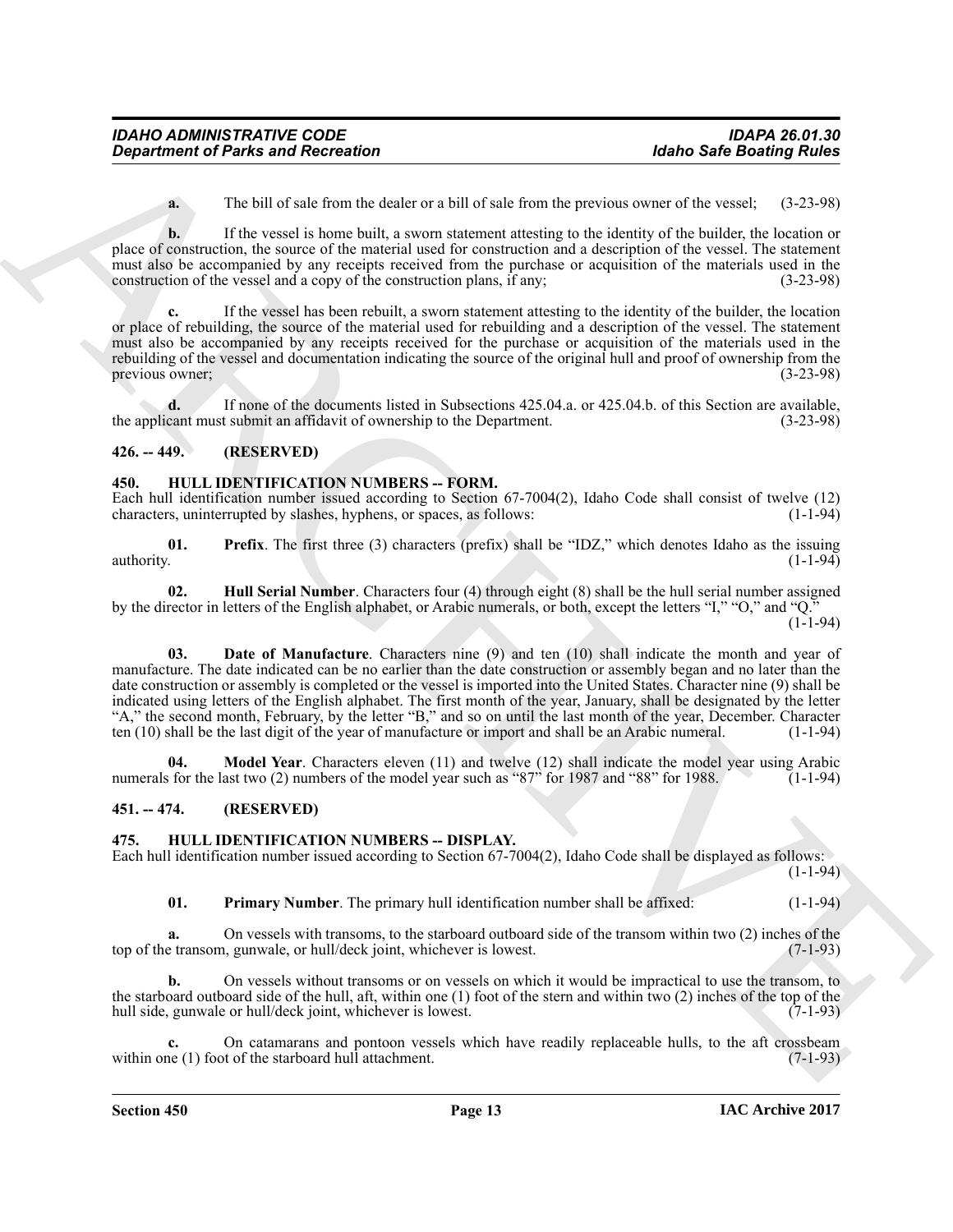**a.** The bill of sale from the dealer or a bill of sale from the previous owner of the vessel; (3-23-98)

**b.** If the vessel is home built, a sworn statement attesting to the identity of the builder, the location or place of construction, the source of the material used for construction and a description of the vessel. The statement must also be accompanied by any receipts received from the purchase or acquisition of the materials used in the construction of the vessel and a copy of the construction plans, if any: (3-23-98) construction of the vessel and a copy of the construction plans, if any;

**c.** If the vessel has been rebuilt, a sworn statement attesting to the identity of the builder, the location or place of rebuilding, the source of the material used for rebuilding and a description of the vessel. The statement must also be accompanied by any receipts received for the purchase or acquisition of the materials used in the rebuilding of the vessel and documentation indicating the source of the original hull and proof of ownership from the previous owner: (3-23-98) previous owner;

**d.** If none of the documents listed in Subsections 425.04.a. or 425.04.b. of this Section are available, the applicant must submit an affidavit of ownership to the Department. (3-23-98)

# <span id="page-12-0"></span>**426. -- 449. (RESERVED)**

#### <span id="page-12-6"></span><span id="page-12-1"></span>**450. HULL IDENTIFICATION NUMBERS -- FORM.**

Each hull identification number issued according to Section 67-7004(2), Idaho Code shall consist of twelve (12) characters, uninterrupted by slashes, hyphens, or spaces, as follows: (1-1-94) characters, uninterrupted by slashes, hyphens, or spaces, as follows:

<span id="page-12-10"></span>**01. Prefix**. The first three (3) characters (prefix) shall be "IDZ," which denotes Idaho as the issuing authority. (1-1-94)

<span id="page-12-8"></span><span id="page-12-7"></span>**02. Hull Serial Number**. Characters four (4) through eight (8) shall be the hull serial number assigned by the director in letters of the English alphabet, or Arabic numerals, or both, except the letters "I," "O," and "Q."

 $(1-1-94)$ 

*General forms and Recession Hohe Safe Booking**Euler Comparison <b><i>Charmel Safe Booking**Euler Control in the Charmel Safe Booking**Charmel Safe Booking**Charmel Safe Booking**Charmel Safe Booking**Charmel Safe* **03. Date of Manufacture**. Characters nine (9) and ten (10) shall indicate the month and year of manufacture. The date indicated can be no earlier than the date construction or assembly began and no later than the date construction or assembly is completed or the vessel is imported into the United States. Character nine (9) shall be indicated using letters of the English alphabet. The first month of the year, January, shall be designated by the letter "A," the second month, February, by the letter "B," and so on until the last month of the year, December. Character ten (10) shall be the last digit of the year of manufacture or import and shall be an Arabic numeral. (1-1-94)

<span id="page-12-9"></span>**04. Model Year**. Characters eleven (11) and twelve (12) shall indicate the model year using Arabic is for the last two (2) numbers of the model year such as "87" for 1987 and "88" for 1988. (1-1-94) numerals for the last two  $(2)$  numbers of the model year such as "87" for 1987 and "88" for 1988.

# <span id="page-12-2"></span>**451. -- 474. (RESERVED)**

# <span id="page-12-4"></span><span id="page-12-3"></span>**475. HULL IDENTIFICATION NUMBERS -- DISPLAY.**

Each hull identification number issued according to Section 67-7004(2), Idaho Code shall be displayed as follows:

 $(1-1-94)$ 

<span id="page-12-5"></span>**01.** Primary Number. The primary hull identification number shall be affixed:  $(1-1-94)$ 

**a.** On vessels with transoms, to the starboard outboard side of the transom within two (2) inches of the extransom, gunwale, or hull/deck joint, whichever is lowest. top of the transom, gunwale, or hull/deck joint, whichever is lowest.

**b.** On vessels without transoms or on vessels on which it would be impractical to use the transom, to the starboard outboard side of the hull, aft, within one (1) foot of the stern and within two (2) inches of the top of the hull side, gunwale or hull/deck joint, whichever is lowest. (7-1-93)

On catamarans and pontoon vessels which have readily replaceable hulls, to the aft crossbeam t of the starboard hull attachment. (7-1-93) within one  $(1)$  foot of the starboard hull attachment.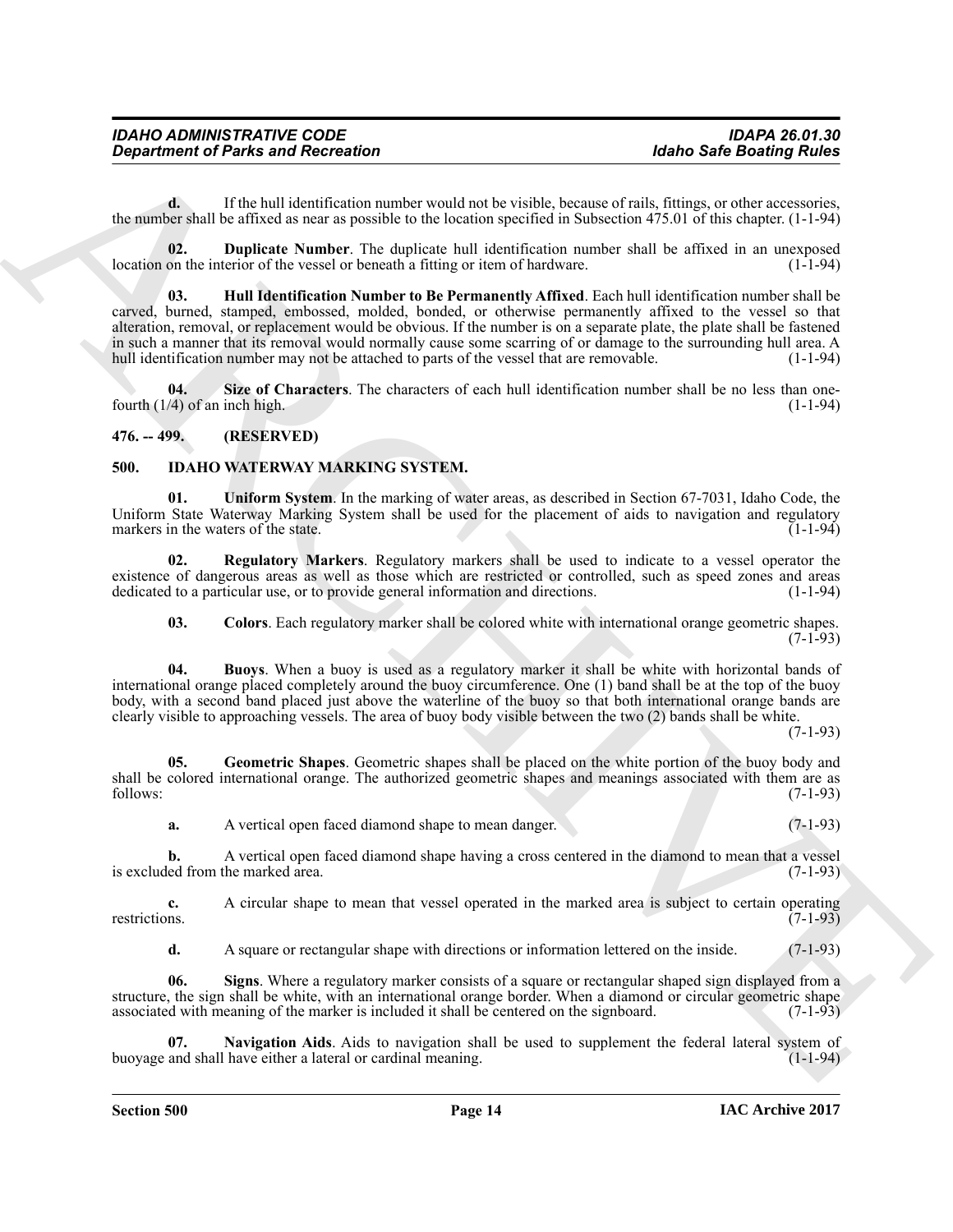**d.** If the hull identification number would not be visible, because of rails, fittings, or other accessories, the number shall be affixed as near as possible to the location specified in Subsection 475.01 of this chapter. (1-1-94)

<span id="page-13-3"></span><span id="page-13-2"></span>**02. Duplicate Number**. The duplicate hull identification number shall be affixed in an unexposed on the interior of the vessel or beneath a fitting or item of hardware. (1-1-94) location on the interior of the vessel or beneath a fitting or item of hardware.

Given the first and Recentrics<br>
Totals and Recentral term in the state of the state of the state of the state of the state of the state of the state of the state of the state of the state of the state of the state of the **03. Hull Identification Number to Be Permanently Affixed**. Each hull identification number shall be carved, burned, stamped, embossed, molded, bonded, or otherwise permanently affixed to the vessel so that alteration, removal, or replacement would be obvious. If the number is on a separate plate, the plate shall be fastened in such a manner that its removal would normally cause some scarring of or damage to the surrounding hull area. A hull identification number may not be attached to parts of the vessel that are removable. (1-1-94)

<span id="page-13-4"></span>**04. Size of Characters**. The characters of each hull identification number shall be no less than onefourth  $(1/4)$  of an inch high. (1-1-94)

# <span id="page-13-0"></span>**476. -- 499. (RESERVED)**

#### <span id="page-13-5"></span><span id="page-13-1"></span>**500. IDAHO WATERWAY MARKING SYSTEM.**

<span id="page-13-12"></span>**01. Uniform System**. In the marking of water areas, as described in Section 67-7031, Idaho Code, the Uniform State Waterway Marking System shall be used for the placement of aids to navigation and regulatory markers in the waters of the state. markers in the waters of the state.

**02. Regulatory Markers**. Regulatory markers shall be used to indicate to a vessel operator the existence of dangerous areas as well as those which are restricted or controlled, such as speed zones and areas dedicated to a particular use, or to provide general information and directions. (1-1-94) dedicated to a particular use, or to provide general information and directions.

<span id="page-13-10"></span><span id="page-13-7"></span><span id="page-13-6"></span>**03. Colors**. Each regulatory marker shall be colored white with international orange geometric shapes.  $(7-1-93)$ 

**04. Buoys**. When a buoy is used as a regulatory marker it shall be white with horizontal bands of international orange placed completely around the buoy circumference. One (1) band shall be at the top of the buoy body, with a second band placed just above the waterline of the buoy so that both international orange bands are clearly visible to approaching vessels. The area of buoy body visible between the two (2) bands shall be white.

(7-1-93)

**05. Geometric Shapes**. Geometric shapes shall be placed on the white portion of the buoy body and shall be colored international orange. The authorized geometric shapes and meanings associated with them are as follows: (7-1-93) follows: (7-1-93)

<span id="page-13-8"></span>**a.** A vertical open faced diamond shape to mean danger. (7-1-93)

**b.** A vertical open faced diamond shape having a cross centered in the diamond to mean that a vesselled from the marked area. (7-1-93) is excluded from the marked area.

**c.** A circular shape to mean that vessel operated in the marked area is subject to certain operating restrictions. (7-1-93)

<span id="page-13-11"></span><span id="page-13-9"></span>**d.** A square or rectangular shape with directions or information lettered on the inside. (7-1-93)

**06. Signs**. Where a regulatory marker consists of a square or rectangular shaped sign displayed from a structure, the sign shall be white, with an international orange border. When a diamond or circular geometric shape associated with meaning of the marker is included it shall be centered on the signboard. (7-1-93)

**Navigation Aids**. Aids to navigation shall be used to supplement the federal lateral system of have either a lateral or cardinal meaning. (1-1-94) buoyage and shall have either a lateral or cardinal meaning.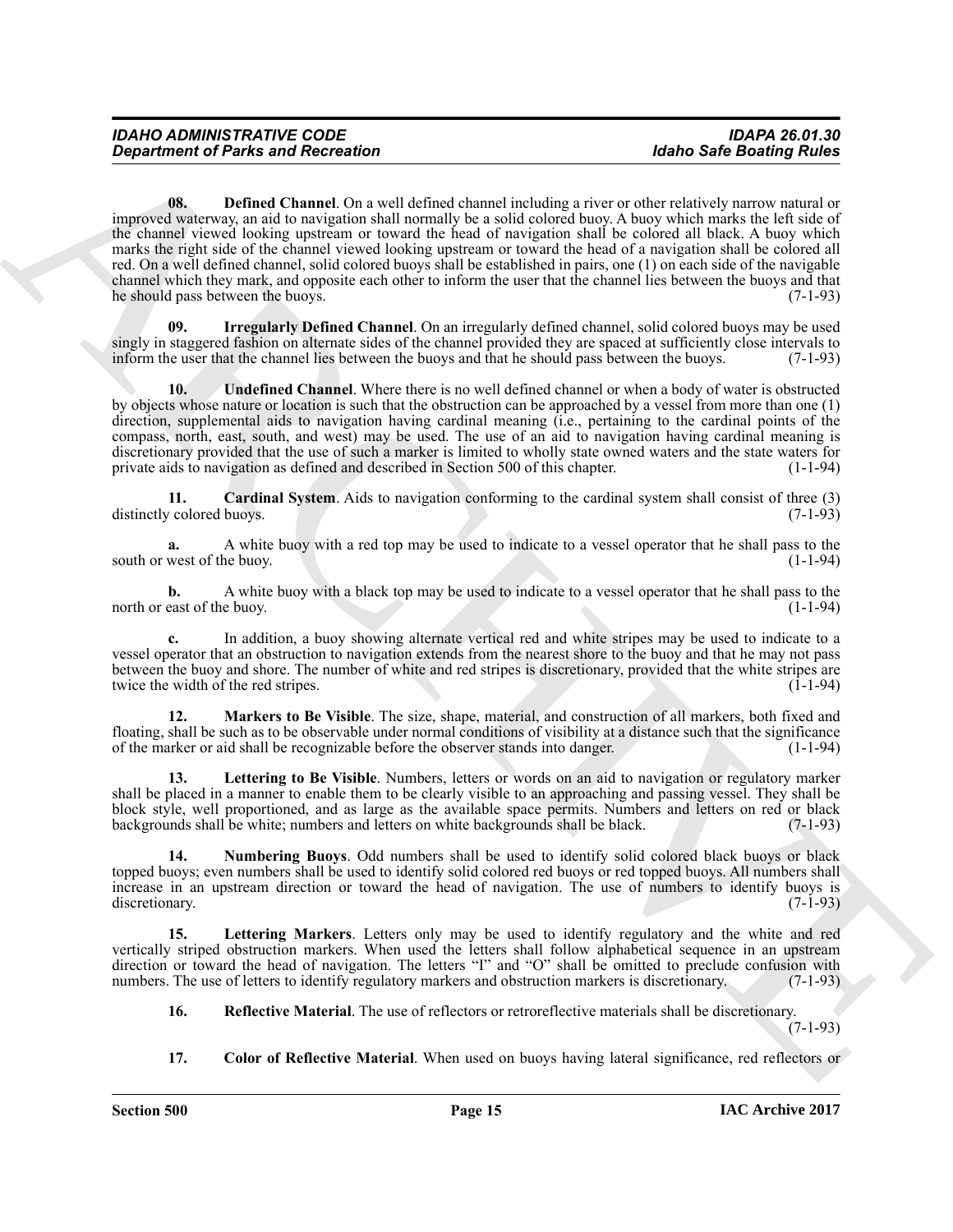*Department of Parks and Recession*<br> **Using Channel Recession**<br> **Using Channel Recession**<br> **Using Channel Recession**<br> **Using Channel Recession**<br> **Using Channel Recession**<br> **Using Channel Recession**<br> **Using Channel Reces 08. Defined Channel**. On a well defined channel including a river or other relatively narrow natural or improved waterway, an aid to navigation shall normally be a solid colored buoy. A buoy which marks the left side of the channel viewed looking upstream or toward the head of navigation shall be colored all black. A buoy which marks the right side of the channel viewed looking upstream or toward the head of a navigation shall be colored all red. On a well defined channel, solid colored buoys shall be established in pairs, one (1) on each side of the navigable channel which they mark, and opposite each other to inform the user that the channel lies between the buoys and that he should pass between the buoys. (7-1-93)

<span id="page-14-3"></span><span id="page-14-2"></span>**09. Irregularly Defined Channel**. On an irregularly defined channel, solid colored buoys may be used singly in staggered fashion on alternate sides of the channel provided they are spaced at sufficiently close intervals to inform the user that the channel lies between the buoys and that he should pass between the buoys. (7-1-93)

<span id="page-14-9"></span>**10. Undefined Channel**. Where there is no well defined channel or when a body of water is obstructed by objects whose nature or location is such that the obstruction can be approached by a vessel from more than one (1) direction, supplemental aids to navigation having cardinal meaning (i.e., pertaining to the cardinal points of the compass, north, east, south, and west) may be used. The use of an aid to navigation having cardinal meaning is discretionary provided that the use of such a marker is limited to wholly state owned waters and the state waters for private aids to navigation as defined and described in Section 500 of this chapter. (1-1-94)

<span id="page-14-0"></span>**11. Cardinal System**. Aids to navigation conforming to the cardinal system shall consist of three (3) distinctly colored buoys.

**a.** A white buoy with a red top may be used to indicate to a vessel operator that he shall pass to the south or west of the buoy. (1-1-94)

**b.** A white buoy with a black top may be used to indicate to a vessel operator that he shall pass to the east of the buoy. (1-1-94) north or east of the buoy.

**c.** In addition, a buoy showing alternate vertical red and white stripes may be used to indicate to a vessel operator that an obstruction to navigation extends from the nearest shore to the buoy and that he may not pass between the buoy and shore. The number of white and red stripes is discretionary, provided that the white stripes are twice the width of the red stripes. (1-1-94) twice the width of the red stripes.

<span id="page-14-6"></span>**12. Markers to Be Visible**. The size, shape, material, and construction of all markers, both fixed and floating, shall be such as to be observable under normal conditions of visibility at a distance such that the significance of the marker or aid shall be recognizable before the observer stands into danger. (1-1-94)

<span id="page-14-5"></span>**13. Lettering to Be Visible**. Numbers, letters or words on an aid to navigation or regulatory marker shall be placed in a manner to enable them to be clearly visible to an approaching and passing vessel. They shall be block style, well proportioned, and as large as the available space permits. Numbers and letters on red or black backgrounds shall be white; numbers and letters on white backgrounds shall be black. (7-1-93)

<span id="page-14-7"></span>**14. Numbering Buoys**. Odd numbers shall be used to identify solid colored black buoys or black topped buoys; even numbers shall be used to identify solid colored red buoys or red topped buoys. All numbers shall increase in an upstream direction or toward the head of navigation. The use of numbers to identify buoys is discretionary. (7-1-93) discretionary. (7-1-93)

**15. Lettering Markers**. Letters only may be used to identify regulatory and the white and red vertically striped obstruction markers. When used the letters shall follow alphabetical sequence in an upstream direction or toward the head of navigation. The letters "I" and "O" shall be omitted to preclude confusion with numbers. The use of letters to identify regulatory markers and obstruction markers is discretionary. (7-1-93) numbers. The use of letters to identify regulatory markers and obstruction markers is discretionary.

- <span id="page-14-8"></span><span id="page-14-4"></span>**16. Reflective Material**. The use of reflectors or retroreflective materials shall be discretionary.  $(7-1-93)$
- <span id="page-14-1"></span>**17. Color of Reflective Material**. When used on buoys having lateral significance, red reflectors or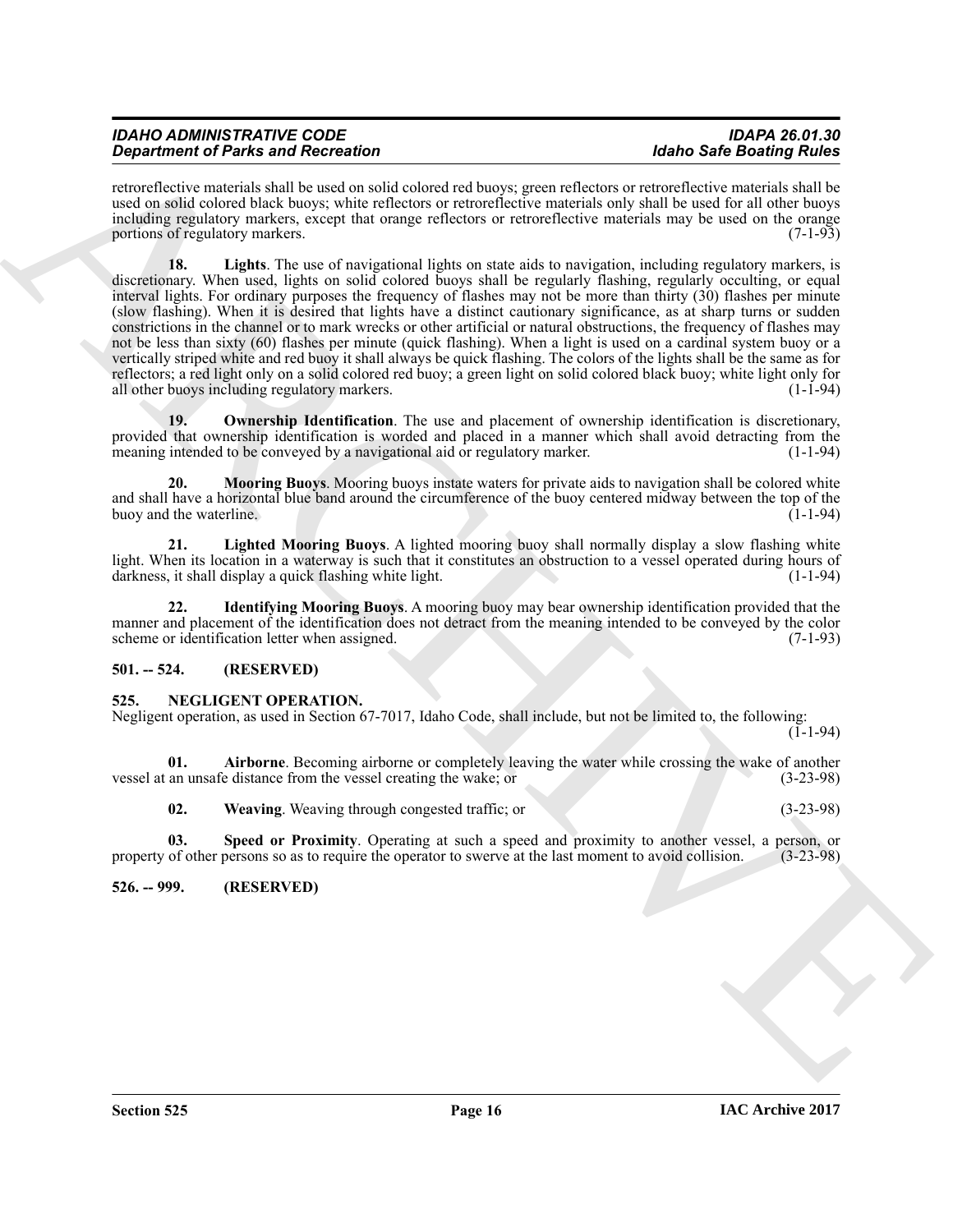| <b>IDAHO ADMINISTRATIVE CODE</b>          | <b>IDAPA 26.01.30</b>           |
|-------------------------------------------|---------------------------------|
| <b>Department of Parks and Recreation</b> | <b>Idaho Safe Boating Rules</b> |

<span id="page-15-5"></span>retroreflective materials shall be used on solid colored red buoys; green reflectors or retroreflective materials shall be used on solid colored black buoys; white reflectors or retroreflective materials only shall be used for all other buoys including regulatory markers, except that orange reflectors or retroreflective materials may be used on the orange portions of regulatory markers. (7-1-93)

**Dependent of Paris and Recorded Interactional Space Section 14.1 and the control of the Safe Section 14.1 and the same section 14.1 and the same section 14.1 and the same section 14.1 and the same section 14.1 and the sa 18. Lights**. The use of navigational lights on state aids to navigation, including regulatory markers, is discretionary. When used, lights on solid colored buoys shall be regularly flashing, regularly occulting, or equal interval lights. For ordinary purposes the frequency of flashes may not be more than thirty (30) flashes per minute (slow flashing). When it is desired that lights have a distinct cautionary significance, as at sharp turns or sudden constrictions in the channel or to mark wrecks or other artificial or natural obstructions, the frequency of flashes may not be less than sixty (60) flashes per minute (quick flashing). When a light is used on a cardinal system buoy or a vertically striped white and red buoy it shall always be quick flashing. The colors of the lights shall be the same as for reflectors; a red light only on a solid colored red buoy; a green light on solid colored black buoy; white light only for all other buoys including regulatory markers. all other buoys including regulatory markers.

<span id="page-15-7"></span>**19. Ownership Identification**. The use and placement of ownership identification is discretionary, provided that ownership identification is worded and placed in a manner which shall avoid detracting from the meaning intended to be conveved by a navigational aid or regulatory marker. meaning intended to be conveyed by a navigational aid or regulatory marker.

<span id="page-15-6"></span>**20. Mooring Buoys**. Mooring buoys instate waters for private aids to navigation shall be colored white and shall have a horizontal blue band around the circumference of the buoy centered midway between the top of the buoy and the waterline.

<span id="page-15-4"></span>**21. Lighted Mooring Buoys**. A lighted mooring buoy shall normally display a slow flashing white light. When its location in a waterway is such that it constitutes an obstruction to a vessel operated during hours of darkness, it shall display a quick flashing white light. darkness, it shall display a quick flashing white light.

<span id="page-15-3"></span>**22. Identifying Mooring Buoys**. A mooring buoy may bear ownership identification provided that the manner and placement of the identification does not detract from the meaning intended to be conveyed by the color scheme or identification letter when assigned. (7-1-93)

# <span id="page-15-0"></span>**501. -- 524. (RESERVED)**

# <span id="page-15-8"></span><span id="page-15-1"></span>**525. NEGLIGENT OPERATION.**

Negligent operation, as used in Section 67-7017, Idaho Code, shall include, but not be limited to, the following:

 $(1-1-94)$ 

**01. Airborne**. Becoming airborne or completely leaving the water while crossing the wake of another vessel at an unsafe distance from the vessel creating the wake; or (3-23-98)

<span id="page-15-11"></span><span id="page-15-10"></span><span id="page-15-9"></span>**02. Weaving**. Weaving through congested traffic; or (3-23-98)

**03.** Speed or Proximity. Operating at such a speed and proximity to another vessel, a person, or of other persons so as to require the operator to swerve at the last moment to avoid collision. (3-23-98) property of other persons so as to require the operator to swerve at the last moment to avoid collision.

<span id="page-15-2"></span>**526. -- 999. (RESERVED)**